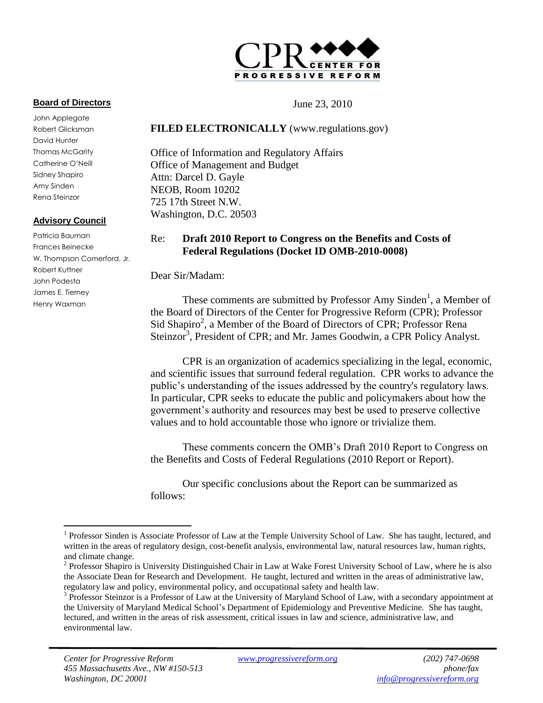

#### **Board of Directors**

John Applegate Robert Glicksman David Hunter Thomas McGarity Catherine O'Neill Sidney Shapiro Amy Sinden Rena Steinzor

#### **Advisory Council**

 $\overline{a}$ 

Patricia Bauman Frances Beinecke W. Thompson Comerford, Jr. Robert Kuttner John Podesta James E. Tierney Henry Waxman

#### June 23, 2010

#### **FILED ELECTRONICALLY** (www.regulations.gov)

Office of Information and Regulatory Affairs Office of Management and Budget Attn: Darcel D. Gayle NEOB, Room 10202 725 17th Street N.W. Washington, D.C. 20503

#### Re: **Draft 2010 Report to Congress on the Benefits and Costs of Federal Regulations (Docket ID OMB-2010-0008)**

Dear Sir/Madam:

These comments are submitted by Professor Amy Sinden<sup>1</sup>, a Member of the Board of Directors of the Center for Progressive Reform (CPR); Professor Sid Shapiro<sup>2</sup>, a Member of the Board of Directors of CPR; Professor Rena Steinzor<sup>3</sup>, President of CPR; and Mr. James Goodwin, a CPR Policy Analyst.

CPR is an organization of academics specializing in the legal, economic, and scientific issues that surround federal regulation. CPR works to advance the public's understanding of the issues addressed by the country's regulatory laws. In particular, CPR seeks to educate the public and policymakers about how the government's authority and resources may best be used to preserve collective values and to hold accountable those who ignore or trivialize them.

These comments concern the OMB's Draft 2010 Report to Congress on the Benefits and Costs of Federal Regulations (2010 Report or Report).

Our specific conclusions about the Report can be summarized as follows:

<sup>&</sup>lt;sup>1</sup> Professor Sinden is Associate Professor of Law at the Temple University School of Law. She has taught, lectured, and written in the areas of regulatory design, cost-benefit analysis, environmental law, natural resources law, human rights, and climate change.

 $2$  Professor Shapiro is University Distinguished Chair in Law at Wake Forest University School of Law, where he is also the Associate Dean for Research and Development. He taught, lectured and written in the areas of administrative law, regulatory law and policy, environmental policy, and occupational safety and health law.

<sup>&</sup>lt;sup>3</sup> Professor Steinzor is a Professor of Law at the University of Maryland School of Law, with a secondary appointment at the University of Maryland Medical School's Department of Epidemiology and Preventive Medicine. She has taught, lectured, and written in the areas of risk assessment, critical issues in law and science, administrative law, and environmental law.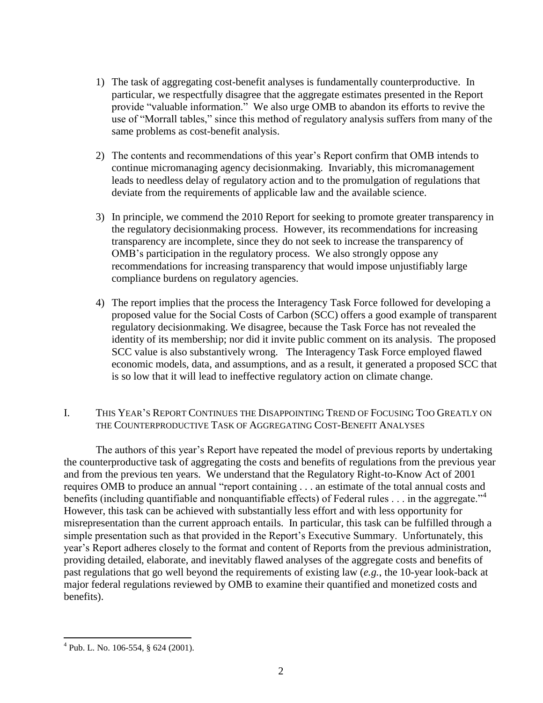- 1) The task of aggregating cost-benefit analyses is fundamentally counterproductive. In particular, we respectfully disagree that the aggregate estimates presented in the Report provide "valuable information." We also urge OMB to abandon its efforts to revive the use of "Morrall tables," since this method of regulatory analysis suffers from many of the same problems as cost-benefit analysis.
- 2) The contents and recommendations of this year's Report confirm that OMB intends to continue micromanaging agency decisionmaking. Invariably, this micromanagement leads to needless delay of regulatory action and to the promulgation of regulations that deviate from the requirements of applicable law and the available science.
- 3) In principle, we commend the 2010 Report for seeking to promote greater transparency in the regulatory decisionmaking process. However, its recommendations for increasing transparency are incomplete, since they do not seek to increase the transparency of OMB's participation in the regulatory process. We also strongly oppose any recommendations for increasing transparency that would impose unjustifiably large compliance burdens on regulatory agencies.
- 4) The report implies that the process the Interagency Task Force followed for developing a proposed value for the Social Costs of Carbon (SCC) offers a good example of transparent regulatory decisionmaking. We disagree, because the Task Force has not revealed the identity of its membership; nor did it invite public comment on its analysis. The proposed SCC value is also substantively wrong. The Interagency Task Force employed flawed economic models, data, and assumptions, and as a result, it generated a proposed SCC that is so low that it will lead to ineffective regulatory action on climate change.

### I. THIS YEAR'S REPORT CONTINUES THE DISAPPOINTING TREND OF FOCUSING TOO GREATLY ON THE COUNTERPRODUCTIVE TASK OF AGGREGATING COST-BENEFIT ANALYSES

The authors of this year's Report have repeated the model of previous reports by undertaking the counterproductive task of aggregating the costs and benefits of regulations from the previous year and from the previous ten years. We understand that the Regulatory Right-to-Know Act of 2001 requires OMB to produce an annual "report containing . . . an estimate of the total annual costs and benefits (including quantifiable and nonquantifiable effects) of Federal rules  $\dots$  in the aggregate.<sup> $,4$ </sup> However, this task can be achieved with substantially less effort and with less opportunity for misrepresentation than the current approach entails. In particular, this task can be fulfilled through a simple presentation such as that provided in the Report's Executive Summary. Unfortunately, this year's Report adheres closely to the format and content of Reports from the previous administration, providing detailed, elaborate, and inevitably flawed analyses of the aggregate costs and benefits of past regulations that go well beyond the requirements of existing law (*e.g.*, the 10-year look-back at major federal regulations reviewed by OMB to examine their quantified and monetized costs and benefits).

 $4$  Pub. L. No. 106-554, § 624 (2001).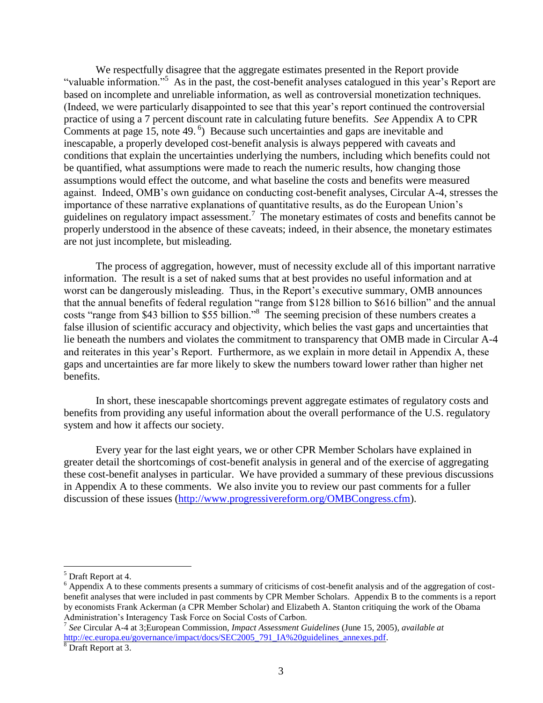We respectfully disagree that the aggregate estimates presented in the Report provide "valuable information."<sup>5</sup> As in the past, the cost-benefit analyses catalogued in this year's Report are based on incomplete and unreliable information, as well as controversial monetization techniques. (Indeed, we were particularly disappointed to see that this year's report continued the controversial practice of using a 7 percent discount rate in calculating future benefits. *See* Appendix A to CPR Comments at page 15, note 49. 6 ) Because such uncertainties and gaps are inevitable and inescapable, a properly developed cost-benefit analysis is always peppered with caveats and conditions that explain the uncertainties underlying the numbers, including which benefits could not be quantified, what assumptions were made to reach the numeric results, how changing those assumptions would effect the outcome, and what baseline the costs and benefits were measured against. Indeed, OMB's own guidance on conducting cost-benefit analyses, Circular A-4, stresses the importance of these narrative explanations of quantitative results, as do the European Union's guidelines on regulatory impact assessment.<sup>7</sup> The monetary estimates of costs and benefits cannot be properly understood in the absence of these caveats; indeed, in their absence, the monetary estimates are not just incomplete, but misleading.

The process of aggregation, however, must of necessity exclude all of this important narrative information. The result is a set of naked sums that at best provides no useful information and at worst can be dangerously misleading. Thus, in the Report's executive summary, OMB announces that the annual benefits of federal regulation "range from \$128 billion to \$616 billion" and the annual costs "range from \$43 billion to \$55 billion."<sup>8</sup> The seeming precision of these numbers creates a false illusion of scientific accuracy and objectivity, which belies the vast gaps and uncertainties that lie beneath the numbers and violates the commitment to transparency that OMB made in Circular A-4 and reiterates in this year's Report. Furthermore, as we explain in more detail in Appendix A, these gaps and uncertainties are far more likely to skew the numbers toward lower rather than higher net benefits.

In short, these inescapable shortcomings prevent aggregate estimates of regulatory costs and benefits from providing any useful information about the overall performance of the U.S. regulatory system and how it affects our society.

Every year for the last eight years, we or other CPR Member Scholars have explained in greater detail the shortcomings of cost-benefit analysis in general and of the exercise of aggregating these cost-benefit analyses in particular. We have provided a summary of these previous discussions in Appendix A to these comments. We also invite you to review our past comments for a fuller discussion of these issues [\(http://www.progressivereform.org/OMBCongress.cfm\)](http://www.progressivereform.org/OMBCongress.cfm).

<sup>5</sup> Draft Report at 4.

<sup>&</sup>lt;sup>6</sup> Appendix A to these comments presents a summary of criticisms of cost-benefit analysis and of the aggregation of costbenefit analyses that were included in past comments by CPR Member Scholars. Appendix B to the comments is a report by economists Frank Ackerman (a CPR Member Scholar) and Elizabeth A. Stanton critiquing the work of the Obama Administration's Interagency Task Force on Social Costs of Carbon.

<sup>7</sup> *See* Circular A-4 at 3;European Commission, *Impact Assessment Guidelines* (June 15, 2005), *available at* [http://ec.europa.eu/governance/impact/docs/SEC2005\\_791\\_IA%20guidelines\\_annexes.pdf.](http://ec.europa.eu/governance/impact/docs/SEC2005_791_IA%20guidelines_annexes.pdf)

<sup>8</sup> Draft Report at 3.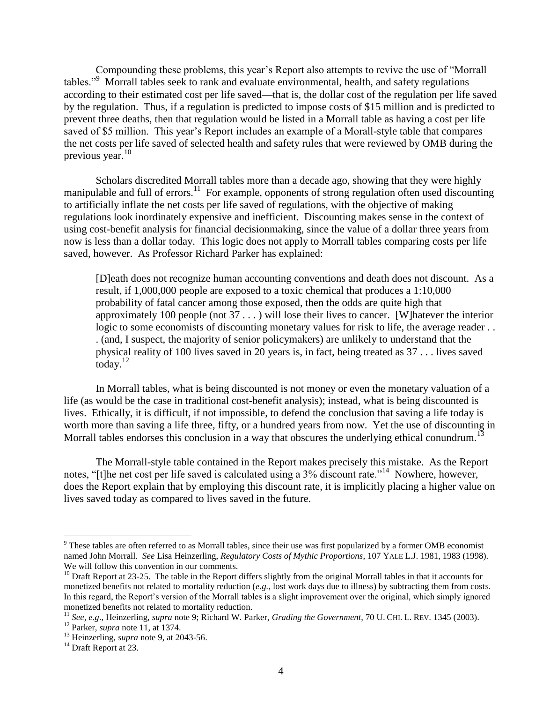Compounding these problems, this year's Report also attempts to revive the use of "Morrall" tables."<sup>9</sup> Morrall tables seek to rank and evaluate environmental, health, and safety regulations according to their estimated cost per life saved—that is, the dollar cost of the regulation per life saved by the regulation. Thus, if a regulation is predicted to impose costs of \$15 million and is predicted to prevent three deaths, then that regulation would be listed in a Morrall table as having a cost per life saved of \$5 million. This year's Report includes an example of a Morall-style table that compares the net costs per life saved of selected health and safety rules that were reviewed by OMB during the previous year. $10$ 

Scholars discredited Morrall tables more than a decade ago, showing that they were highly manipulable and full of errors.<sup>11</sup> For example, opponents of strong regulation often used discounting to artificially inflate the net costs per life saved of regulations, with the objective of making regulations look inordinately expensive and inefficient. Discounting makes sense in the context of using cost-benefit analysis for financial decisionmaking, since the value of a dollar three years from now is less than a dollar today. This logic does not apply to Morrall tables comparing costs per life saved, however. As Professor Richard Parker has explained:

[D]eath does not recognize human accounting conventions and death does not discount. As a result, if 1,000,000 people are exposed to a toxic chemical that produces a 1:10,000 probability of fatal cancer among those exposed, then the odds are quite high that approximately 100 people (not 37 . . . ) will lose their lives to cancer. [W]hatever the interior logic to some economists of discounting monetary values for risk to life, the average reader... . (and, I suspect, the majority of senior policymakers) are unlikely to understand that the physical reality of 100 lives saved in 20 years is, in fact, being treated as 37 . . . lives saved today. $12$ 

In Morrall tables, what is being discounted is not money or even the monetary valuation of a life (as would be the case in traditional cost-benefit analysis); instead, what is being discounted is lives. Ethically, it is difficult, if not impossible, to defend the conclusion that saving a life today is worth more than saving a life three, fifty, or a hundred years from now. Yet the use of discounting in Morrall tables endorses this conclusion in a way that obscures the underlying ethical conundrum.<sup>13</sup>

The Morrall-style table contained in the Report makes precisely this mistake. As the Report notes, "[t]he net cost per life saved is calculated using a 3% discount rate."<sup>14</sup> Nowhere, however, does the Report explain that by employing this discount rate, it is implicitly placing a higher value on lives saved today as compared to lives saved in the future.

<sup>&</sup>lt;sup>9</sup> These tables are often referred to as Morrall tables, since their use was first popularized by a former OMB economist named John Morrall. *See* Lisa Heinzerling, *Regulatory Costs of Mythic Proportions*, 107 YALE L.J. 1981, 1983 (1998). We will follow this convention in our comments.

 $10$  Draft Report at 23-25. The table in the Report differs slightly from the original Morrall tables in that it accounts for monetized benefits not related to mortality reduction (*e.g.*, lost work days due to illness) by subtracting them from costs. In this regard, the Report's version of the Morrall tables is a slight improvement over the original, which simply ignored monetized benefits not related to mortality reduction.

<sup>11</sup> *See, e.g*., Heinzerling, *supra* note 9; Richard W. Parker, *Grading the Government*, 70 U. CHI. L. REV. 1345 (2003).

<sup>12</sup> Parker, *supra* note 11, at 1374.

<sup>&</sup>lt;sup>13</sup> Heinzerling, *supra* note 9, at 2043-56.

<sup>&</sup>lt;sup>14</sup> Draft Report at 23.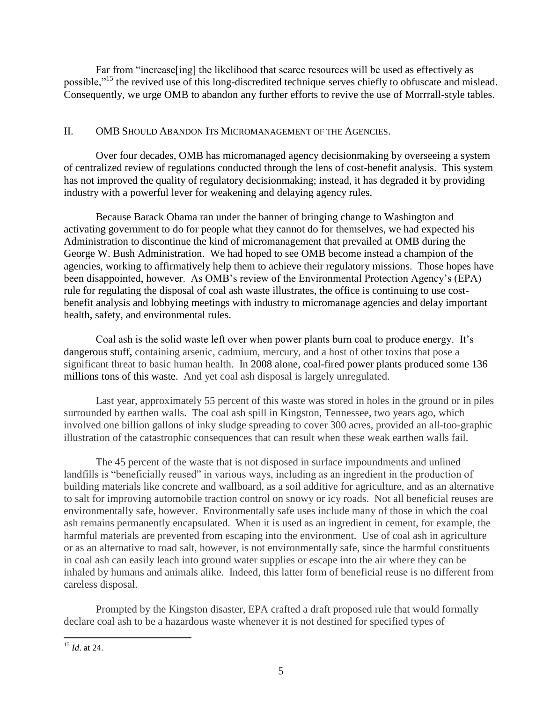Far from "increase [ing] the likelihood that scarce resources will be used as effectively as possible.<sup>"15</sup> the revived use of this long-discredited technique serves chiefly to obfuscate and mislead. Consequently, we urge OMB to abandon any further efforts to revive the use of Morrrall-style tables.

### II. OMB SHOULD ABANDON ITS MICROMANAGEMENT OF THE AGENCIES.

Over four decades, OMB has micromanaged agency decisionmaking by overseeing a system of centralized review of regulations conducted through the lens of cost-benefit analysis. This system has not improved the quality of regulatory decisionmaking; instead, it has degraded it by providing industry with a powerful lever for weakening and delaying agency rules.

Because Barack Obama ran under the banner of bringing change to Washington and activating government to do for people what they cannot do for themselves, we had expected his Administration to discontinue the kind of micromanagement that prevailed at OMB during the George W. Bush Administration. We had hoped to see OMB become instead a champion of the agencies, working to affirmatively help them to achieve their regulatory missions. Those hopes have been disappointed, however. As OMB's review of the Environmental Protection Agency's (EPA) rule for regulating the disposal of coal ash waste illustrates, the office is continuing to use costbenefit analysis and lobbying meetings with industry to micromanage agencies and delay important health, safety, and environmental rules.

Coal ash is the solid waste left over when power plants burn coal to produce energy. It's dangerous stuff, containing arsenic, cadmium, mercury, and a host of other toxins that pose a significant threat to basic human health. In 2008 alone, coal-fired power plants produced some 136 millions tons of this waste. And yet coal ash disposal is largely unregulated.

Last year, approximately 55 percent of this waste was stored in holes in the ground or in piles surrounded by earthen walls. The coal ash spill in Kingston, Tennessee, two years ago, which involved one billion gallons of inky sludge spreading to cover 300 acres, provided an all-too-graphic illustration of the catastrophic consequences that can result when these weak earthen walls fail.

The 45 percent of the waste that is not disposed in surface impoundments and unlined landfills is "beneficially reused" in various ways, including as an ingredient in the production of building materials like concrete and wallboard, as a soil additive for agriculture, and as an alternative to salt for improving automobile traction control on snowy or icy roads. Not all beneficial reuses are environmentally safe, however. Environmentally safe uses include many of those in which the coal ash remains permanently encapsulated. When it is used as an ingredient in cement, for example, the harmful materials are prevented from escaping into the environment. Use of coal ash in agriculture or as an alternative to road salt, however, is not environmentally safe, since the harmful constituents in coal ash can easily leach into ground water supplies or escape into the air where they can be inhaled by humans and animals alike. Indeed, this latter form of beneficial reuse is no different from careless disposal.

Prompted by the Kingston disaster, EPA crafted a draft proposed rule that would formally declare coal ash to be a hazardous waste whenever it is not destined for specified types of

 $\overline{a}$ <sup>15</sup> *Id*. at 24.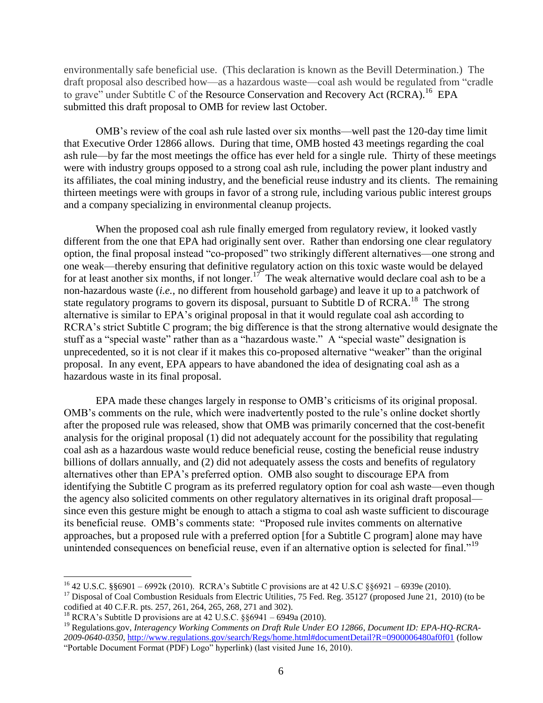environmentally safe beneficial use. (This declaration is known as the Bevill Determination.) The draft proposal also described how—as a hazardous waste—coal ash would be regulated from "cradle" to grave" under Subtitle C of the Resource Conservation and Recovery Act (RCRA).<sup>16</sup> EPA submitted this draft proposal to OMB for review last October.

OMB's review of the coal ash rule lasted over six months—well past the 120-day time limit that Executive Order 12866 allows. During that time, OMB hosted 43 meetings regarding the coal ash rule—by far the most meetings the office has ever held for a single rule. Thirty of these meetings were with industry groups opposed to a strong coal ash rule, including the power plant industry and its affiliates, the coal mining industry, and the beneficial reuse industry and its clients. The remaining thirteen meetings were with groups in favor of a strong rule, including various public interest groups and a company specializing in environmental cleanup projects.

When the proposed coal ash rule finally emerged from regulatory review, it looked vastly different from the one that EPA had originally sent over. Rather than endorsing one clear regulatory option, the final proposal instead "co-proposed" two strikingly different alternatives—one strong and one weak—thereby ensuring that definitive regulatory action on this toxic waste would be delayed for at least another six months, if not longer.<sup>17</sup> The weak alternative would declare coal ash to be a non-hazardous waste (*i.e.*, no different from household garbage) and leave it up to a patchwork of state regulatory programs to govern its disposal, pursuant to Subtitle D of RCRA.<sup>18</sup> The strong alternative is similar to EPA's original proposal in that it would regulate coal ash according to RCRA's strict Subtitle C program; the big difference is that the strong alternative would designate the stuff as a "special waste" rather than as a "hazardous waste." A "special waste" designation is unprecedented, so it is not clear if it makes this co-proposed alternative "weaker" than the original proposal. In any event, EPA appears to have abandoned the idea of designating coal ash as a hazardous waste in its final proposal.

EPA made these changes largely in response to OMB's criticisms of its original proposal. OMB's comments on the rule, which were inadvertently posted to the rule's online docket shortly after the proposed rule was released, show that OMB was primarily concerned that the cost-benefit analysis for the original proposal (1) did not adequately account for the possibility that regulating coal ash as a hazardous waste would reduce beneficial reuse, costing the beneficial reuse industry billions of dollars annually, and (2) did not adequately assess the costs and benefits of regulatory alternatives other than EPA's preferred option. OMB also sought to discourage EPA from identifying the Subtitle C program as its preferred regulatory option for coal ash waste—even though the agency also solicited comments on other regulatory alternatives in its original draft proposal since even this gesture might be enough to attach a stigma to coal ash waste sufficient to discourage its beneficial reuse. OMB's comments state: "Proposed rule invites comments on alternative approaches, but a proposed rule with a preferred option [for a Subtitle C program] alone may have unintended consequences on beneficial reuse, even if an alternative option is selected for final."<sup>19</sup>

<sup>16</sup> 42 U.S.C. §§6901 – 6992k (2010). RCRA's Subtitle C provisions are at 42 U.S.C §§6921 – 6939e (2010). <sup>17</sup> Disposal of Coal Combustion Residuals from Electric Utilities, 75 Fed. Reg. 35127 (proposed June 21, 2010) (to be codified at 40 C.F.R. pts. 257, 261, 264, 265, 268, 271 and 302).

<sup>&</sup>lt;sup>18</sup> RCRA's Subtitle D provisions are at 42 U.S.C.  $\S$ §6941 – 6949a (2010).

<sup>19</sup> Regulations.gov, *Interagency Working Comments on Draft Rule Under EO 12866*, *Document ID: EPA-HQ-RCRA-2009-0640-0350*[, http://www.regulations.gov/search/Regs/home.html#documentDetail?R=0900006480af0f01](http://www.regulations.gov/search/Regs/home.html#documentDetail?R=0900006480af0f01) (follow "Portable Document Format (PDF) Logo" hyperlink) (last visited June 16, 2010).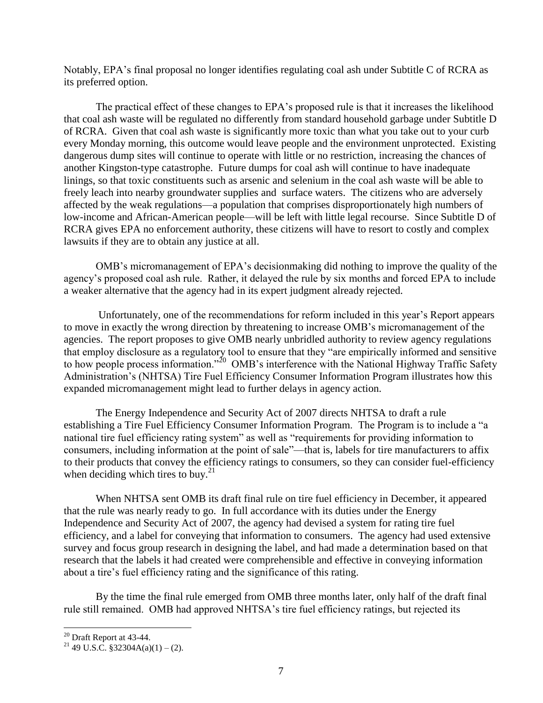Notably, EPA's final proposal no longer identifies regulating coal ash under Subtitle C of RCRA as its preferred option.

The practical effect of these changes to EPA's proposed rule is that it increases the likelihood that coal ash waste will be regulated no differently from standard household garbage under Subtitle D of RCRA. Given that coal ash waste is significantly more toxic than what you take out to your curb every Monday morning, this outcome would leave people and the environment unprotected. Existing dangerous dump sites will continue to operate with little or no restriction, increasing the chances of another Kingston-type catastrophe. Future dumps for coal ash will continue to have inadequate linings, so that toxic constituents such as arsenic and selenium in the coal ash waste will be able to freely leach into nearby groundwater supplies and surface waters. The citizens who are adversely affected by the weak regulations—a population that comprises disproportionately high numbers of low-income and African-American people—will be left with little legal recourse. Since Subtitle D of RCRA gives EPA no enforcement authority, these citizens will have to resort to costly and complex lawsuits if they are to obtain any justice at all.

OMB's micromanagement of EPA's decisionmaking did nothing to improve the quality of the agency's proposed coal ash rule. Rather, it delayed the rule by six months and forced EPA to include a weaker alternative that the agency had in its expert judgment already rejected.

Unfortunately, one of the recommendations for reform included in this year's Report appears to move in exactly the wrong direction by threatening to increase OMB's micromanagement of the agencies. The report proposes to give OMB nearly unbridled authority to review agency regulations that employ disclosure as a regulatory tool to ensure that they "are empirically informed and sensitive to how people process information."<sup>20</sup> OMB's interference with the National Highway Traffic Safety Administration's (NHTSA) Tire Fuel Efficiency Consumer Information Program illustrates how this expanded micromanagement might lead to further delays in agency action.

The Energy Independence and Security Act of 2007 directs NHTSA to draft a rule establishing a Tire Fuel Efficiency Consumer Information Program. The Program is to include a "a national tire fuel efficiency rating system" as well as "requirements for providing information to consumers, including information at the point of sale"—that is, labels for tire manufacturers to affix to their products that convey the efficiency ratings to consumers, so they can consider fuel-efficiency when deciding which tires to buy. $^{21}$ 

When NHTSA sent OMB its draft final rule on tire fuel efficiency in December, it appeared that the rule was nearly ready to go. In full accordance with its duties under the Energy Independence and Security Act of 2007, the agency had devised a system for rating tire fuel efficiency, and a label for conveying that information to consumers. The agency had used extensive survey and focus group research in designing the label, and had made a determination based on that research that the labels it had created were comprehensible and effective in conveying information about a tire's fuel efficiency rating and the significance of this rating.

By the time the final rule emerged from OMB three months later, only half of the draft final rule still remained. OMB had approved NHTSA's tire fuel efficiency ratings, but rejected its

 $20$  Draft Report at 43-44.

<sup>&</sup>lt;sup>21</sup> 49 U.S.C. §32304A(a)(1) – (2).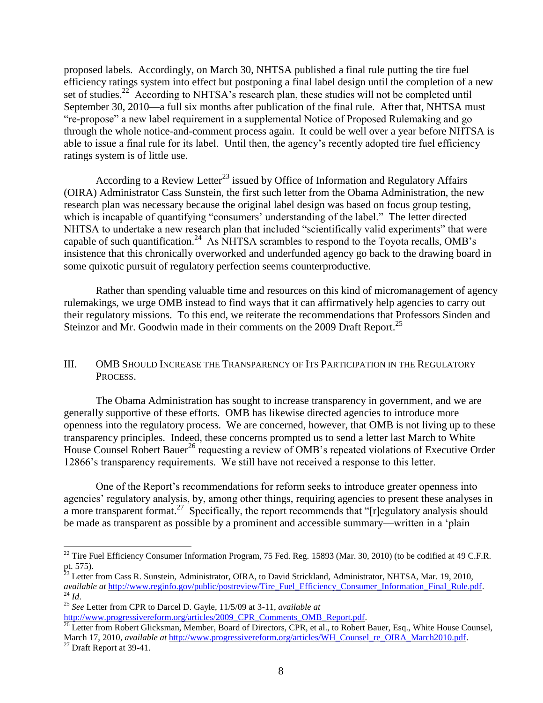proposed labels. Accordingly, on March 30, NHTSA published a final rule putting the tire fuel efficiency ratings system into effect but postponing a final label design until the completion of a new set of studies.<sup>22</sup> According to NHTSA's research plan, these studies will not be completed until September 30, 2010—a full six months after publication of the final rule. After that, NHTSA must ―re-propose‖ a new label requirement in a supplemental Notice of Proposed Rulemaking and go through the whole notice-and-comment process again. It could be well over a year before NHTSA is able to issue a final rule for its label. Until then, the agency's recently adopted tire fuel efficiency ratings system is of little use.

According to a Review Letter<sup>23</sup> issued by Office of Information and Regulatory Affairs (OIRA) Administrator Cass Sunstein, the first such letter from the Obama Administration, the new research plan was necessary because the original label design was based on focus group testing, which is incapable of quantifying "consumers' understanding of the label." The letter directed NHTSA to undertake a new research plan that included "scientifically valid experiments" that were capable of such quantification.<sup>24</sup> As NHTSA scrambles to respond to the Toyota recalls, OMB's insistence that this chronically overworked and underfunded agency go back to the drawing board in some quixotic pursuit of regulatory perfection seems counterproductive.

Rather than spending valuable time and resources on this kind of micromanagement of agency rulemakings, we urge OMB instead to find ways that it can affirmatively help agencies to carry out their regulatory missions. To this end, we reiterate the recommendations that Professors Sinden and Steinzor and Mr. Goodwin made in their comments on the 2009 Draft Report.<sup>25</sup>

#### III. OMB SHOULD INCREASE THE TRANSPARENCY OF ITS PARTICIPATION IN THE REGULATORY PROCESS.

The Obama Administration has sought to increase transparency in government, and we are generally supportive of these efforts. OMB has likewise directed agencies to introduce more openness into the regulatory process. We are concerned, however, that OMB is not living up to these transparency principles. Indeed, these concerns prompted us to send a letter last March to White House Counsel Robert Bauer<sup>26</sup> requesting a review of OMB's repeated violations of Executive Order 12866's transparency requirements. We still have not received a response to this letter.

One of the Report's recommendations for reform seeks to introduce greater openness into agencies' regulatory analysis, by, among other things, requiring agencies to present these analyses in a more transparent format.<sup>27</sup> Specifically, the report recommends that "[r]egulatory analysis should be made as transparent as possible by a prominent and accessible summary—written in a 'plain

<sup>26</sup> Letter from Robert Glicksman, Member, Board of Directors, CPR, et al., to Robert Bauer, Esq., White House Counsel, March 17, 2010, *available at* [http://www.progressivereform.org/articles/WH\\_Counsel\\_re\\_OIRA\\_March2010.pdf.](http://www.progressivereform.org/articles/WH_Counsel_re_OIRA_March2010.pdf)

<sup>&</sup>lt;sup>22</sup> Tire Fuel Efficiency Consumer Information Program, 75 Fed. Reg. 15893 (Mar. 30, 2010) (to be codified at 49 C.F.R. pt. 575).

<sup>&</sup>lt;sup>23</sup> Letter from Cass R. Sunstein, Administrator, OIRA, to David Strickland, Administrator, NHTSA, Mar. 19, 2010, *available at* [http://www.reginfo.gov/public/postreview/Tire\\_Fuel\\_Efficiency\\_Consumer\\_Information\\_Final\\_Rule.pdf.](http://www.reginfo.gov/public/postreview/Tire_Fuel_Efficiency_Consumer_Information_Final_Rule.pdf) <sup>24</sup> *Id*.

<sup>25</sup> *See* Letter from CPR to Darcel D. Gayle, 11/5/09 at 3-11, *available at* [http://www.progressivereform.org/articles/2009\\_CPR\\_Comments\\_OMB\\_Report.pdf.](http://www.progressivereform.org/articles/2009_CPR_Comments_OMB_Report.pdf)

 $27$  Draft Report at 39-41.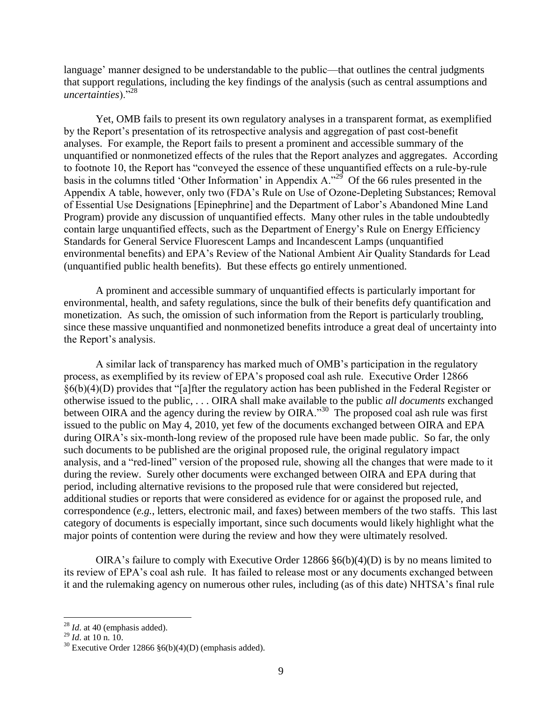language' manner designed to be understandable to the public—that outlines the central judgments that support regulations, including the key findings of the analysis (such as central assumptions and uncertainties)."<sup>28</sup>

Yet, OMB fails to present its own regulatory analyses in a transparent format, as exemplified by the Report's presentation of its retrospective analysis and aggregation of past cost-benefit analyses. For example, the Report fails to present a prominent and accessible summary of the unquantified or nonmonetized effects of the rules that the Report analyzes and aggregates. According to footnote 10, the Report has "conveyed the essence of these unquantified effects on a rule-by-rule basis in the columns titled 'Other Information' in Appendix A."<sup>29</sup> Of the 66 rules presented in the Appendix A table, however, only two (FDA's Rule on Use of Ozone-Depleting Substances; Removal of Essential Use Designations [Epinephrine] and the Department of Labor's Abandoned Mine Land Program) provide any discussion of unquantified effects. Many other rules in the table undoubtedly contain large unquantified effects, such as the Department of Energy's Rule on Energy Efficiency Standards for General Service Fluorescent Lamps and Incandescent Lamps (unquantified environmental benefits) and EPA's Review of the National Ambient Air Quality Standards for Lead (unquantified public health benefits). But these effects go entirely unmentioned.

A prominent and accessible summary of unquantified effects is particularly important for environmental, health, and safety regulations, since the bulk of their benefits defy quantification and monetization. As such, the omission of such information from the Report is particularly troubling, since these massive unquantified and nonmonetized benefits introduce a great deal of uncertainty into the Report's analysis.

A similar lack of transparency has marked much of OMB's participation in the regulatory process, as exemplified by its review of EPA's proposed coal ash rule. Executive Order 12866  $§6(b)(4)(D)$  provides that "[a]fter the regulatory action has been published in the Federal Register or otherwise issued to the public, . . . OIRA shall make available to the public *all documents* exchanged between OIRA and the agency during the review by OIRA."<sup>30</sup> The proposed coal ash rule was first issued to the public on May 4, 2010, yet few of the documents exchanged between OIRA and EPA during OIRA's six-month-long review of the proposed rule have been made public. So far, the only such documents to be published are the original proposed rule, the original regulatory impact analysis, and a "red-lined" version of the proposed rule, showing all the changes that were made to it during the review. Surely other documents were exchanged between OIRA and EPA during that period, including alternative revisions to the proposed rule that were considered but rejected, additional studies or reports that were considered as evidence for or against the proposed rule, and correspondence (*e.g.*, letters, electronic mail, and faxes) between members of the two staffs. This last category of documents is especially important, since such documents would likely highlight what the major points of contention were during the review and how they were ultimately resolved.

OIRA's failure to comply with Executive Order  $12866 \frac{86(b)(4)(D)}{2}$  is by no means limited to its review of EPA's coal ash rule. It has failed to release most or any documents exchanged between it and the rulemaking agency on numerous other rules, including (as of this date) NHTSA's final rule

<sup>&</sup>lt;sup>28</sup> *Id.* at 40 (emphasis added).

<sup>29</sup> *Id*. at 10 n. 10.

 $30$  Executive Order 12866  $\S6(b)(4)(D)$  (emphasis added).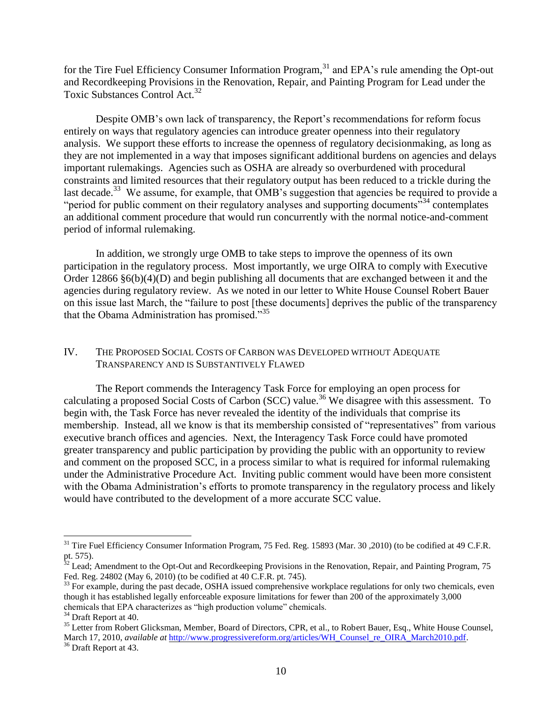for the Tire Fuel Efficiency Consumer Information Program,<sup>31</sup> and EPA's rule amending the Opt-out and Recordkeeping Provisions in the Renovation, Repair, and Painting Program for Lead under the Toxic Substances Control Act.<sup>32</sup>

Despite OMB's own lack of transparency, the Report's recommendations for reform focus entirely on ways that regulatory agencies can introduce greater openness into their regulatory analysis. We support these efforts to increase the openness of regulatory decisionmaking, as long as they are not implemented in a way that imposes significant additional burdens on agencies and delays important rulemakings. Agencies such as OSHA are already so overburdened with procedural constraints and limited resources that their regulatory output has been reduced to a trickle during the last decade.<sup>33</sup> We assume, for example, that OMB's suggestion that agencies be required to provide a "period for public comment on their regulatory analyses and supporting documents"<sup>34</sup> contemplates an additional comment procedure that would run concurrently with the normal notice-and-comment period of informal rulemaking.

In addition, we strongly urge OMB to take steps to improve the openness of its own participation in the regulatory process. Most importantly, we urge OIRA to comply with Executive Order 12866 §6(b)(4)(D) and begin publishing all documents that are exchanged between it and the agencies during regulatory review. As we noted in our letter to White House Counsel Robert Bauer on this issue last March, the "failure to post [these documents] deprives the public of the transparency that the Obama Administration has promised."<sup>35</sup>

#### IV. THE PROPOSED SOCIAL COSTS OF CARBON WAS DEVELOPED WITHOUT ADEQUATE TRANSPARENCY AND IS SUBSTANTIVELY FLAWED

The Report commends the Interagency Task Force for employing an open process for calculating a proposed Social Costs of Carbon (SCC) value.<sup>36</sup> We disagree with this assessment. To begin with, the Task Force has never revealed the identity of the individuals that comprise its membership. Instead, all we know is that its membership consisted of "representatives" from various executive branch offices and agencies. Next, the Interagency Task Force could have promoted greater transparency and public participation by providing the public with an opportunity to review and comment on the proposed SCC, in a process similar to what is required for informal rulemaking under the Administrative Procedure Act. Inviting public comment would have been more consistent with the Obama Administration's efforts to promote transparency in the regulatory process and likely would have contributed to the development of a more accurate SCC value.

<sup>&</sup>lt;sup>31</sup> Tire Fuel Efficiency Consumer Information Program, 75 Fed. Reg. 15893 (Mar. 30, 2010) (to be codified at 49 C.F.R. pt. 575).

 $32$  Lead; Amendment to the Opt-Out and Recordkeeping Provisions in the Renovation, Repair, and Painting Program, 75 Fed. Reg. 24802 (May 6, 2010) (to be codified at 40 C.F.R. pt. 745).

 $33$  For example, during the past decade, OSHA issued comprehensive workplace regulations for only two chemicals, even though it has established legally enforceable exposure limitations for fewer than 200 of the approximately 3,000 chemicals that EPA characterizes as "high production volume" chemicals.

<sup>&</sup>lt;sup>34</sup> Draft Report at 40.

<sup>&</sup>lt;sup>35</sup> Letter from Robert Glicksman, Member, Board of Directors, CPR, et al., to Robert Bauer, Esq., White House Counsel, March 17, 2010, *available at* [http://www.progressivereform.org/articles/WH\\_Counsel\\_re\\_OIRA\\_March2010.pdf.](http://www.progressivereform.org/articles/WH_Counsel_re_OIRA_March2010.pdf)

<sup>&</sup>lt;sup>36</sup> Draft Report at 43.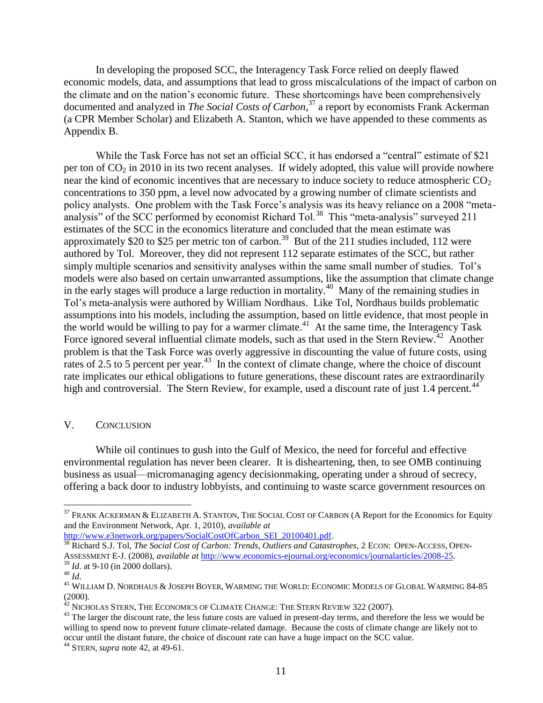In developing the proposed SCC, the Interagency Task Force relied on deeply flawed economic models, data, and assumptions that lead to gross miscalculations of the impact of carbon on the climate and on the nation's economic future. These shortcomings have been comprehensively documented and analyzed in *The Social Costs of Carbon*, <sup>37</sup> a report by economists Frank Ackerman (a CPR Member Scholar) and Elizabeth A. Stanton, which we have appended to these comments as Appendix B.

While the Task Force has not set an official SCC, it has endorsed a "central" estimate of \$21 per ton of  $CO<sub>2</sub>$  in 2010 in its two recent analyses. If widely adopted, this value will provide nowhere near the kind of economic incentives that are necessary to induce society to reduce atmospheric  $CO<sub>2</sub>$ concentrations to 350 ppm, a level now advocated by a growing number of climate scientists and policy analysts. One problem with the Task Force's analysis was its heavy reliance on a 2008 "metaanalysis" of the SCC performed by economist Richard Tol.<sup>38</sup> This "meta-analysis" surveyed 211 estimates of the SCC in the economics literature and concluded that the mean estimate was approximately \$20 to \$25 per metric ton of carbon.<sup>39</sup> But of the 211 studies included, 112 were authored by Tol. Moreover, they did not represent 112 separate estimates of the SCC, but rather simply multiple scenarios and sensitivity analyses within the same small number of studies. Tol's models were also based on certain unwarranted assumptions, like the assumption that climate change in the early stages will produce a large reduction in mortality.<sup>40</sup> Many of the remaining studies in Tol's meta-analysis were authored by William Nordhaus. Like Tol, Nordhaus builds problematic assumptions into his models, including the assumption, based on little evidence, that most people in the world would be willing to pay for a warmer climate.<sup>41</sup> At the same time, the Interagency Task Force ignored several influential climate models, such as that used in the Stern Review.<sup>42</sup> Another problem is that the Task Force was overly aggressive in discounting the value of future costs, using rates of 2.5 to 5 percent per year. $43$  In the context of climate change, where the choice of discount rate implicates our ethical obligations to future generations, these discount rates are extraordinarily high and controversial. The Stern Review, for example, used a discount rate of just 1.4 percent.<sup>44</sup>

#### V. CONCLUSION

While oil continues to gush into the Gulf of Mexico, the need for forceful and effective environmental regulation has never been clearer. It is disheartening, then, to see OMB continuing business as usual—micromanaging agency decisionmaking, operating under a shroud of secrecy, offering a back door to industry lobbyists, and continuing to waste scarce government resources on

[http://www.e3network.org/papers/SocialCostOfCarbon\\_SEI\\_20100401.pdf.](http://www.e3network.org/papers/SocialCostOfCarbon_SEI_20100401.pdf)

<sup>&</sup>lt;sup>37</sup> FRANK ACKERMAN & ELIZABETH A. STANTON, THE SOCIAL COST OF CARBON (A Report for the Economics for Equity and the Environment Network, Apr. 1, 2010), *available at* 

<sup>38</sup> Richard S.J. Tol, *The Social Cost of Carbon: Trends, Outliers and Catastrophes*, 2 ECON: OPEN-ACCESS, OPEN-ASSESSMENT E-J. (2008), *available at* [http://www.economics-ejournal.org/economics/journalarticles/2008-25.](http://www.economics-ejournal.org/economics/journalarticles/2008-25)

<sup>39</sup> *Id*. at 9-10 (in 2000 dollars).

<sup>40</sup> *Id*.

<sup>&</sup>lt;sup>41</sup> WILLIAM D. NORDHAUS & JOSEPH BOYER, WARMING THE WORLD: ECONOMIC MODELS OF GLOBAL WARMING 84-85 (2000).

 $^{42}$  Nicholas Stern, The Economics of Climate Change: The Stern Review 322 (2007).

<sup>&</sup>lt;sup>43</sup> The larger the discount rate, the less future costs are valued in present-day terms, and therefore the less we would be willing to spend now to prevent future climate-related damage. Because the costs of climate change are likely not to occur until the distant future, the choice of discount rate can have a huge impact on the SCC value.

<sup>44</sup> STERN, *supra* note 42, at 49-61.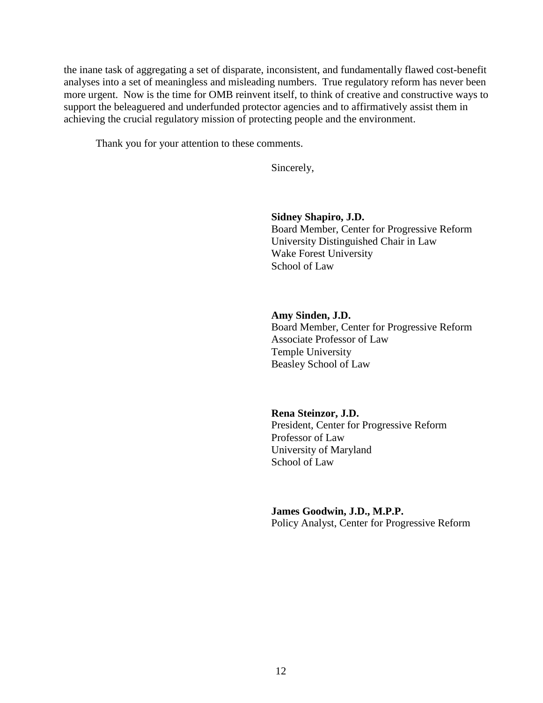the inane task of aggregating a set of disparate, inconsistent, and fundamentally flawed cost-benefit analyses into a set of meaningless and misleading numbers. True regulatory reform has never been more urgent. Now is the time for OMB reinvent itself, to think of creative and constructive ways to support the beleaguered and underfunded protector agencies and to affirmatively assist them in achieving the crucial regulatory mission of protecting people and the environment.

Thank you for your attention to these comments.

Sincerely,

#### **Sidney Shapiro, J.D.**

Board Member, Center for Progressive Reform University Distinguished Chair in Law Wake Forest University School of Law

#### **Amy Sinden, J.D.**

Board Member, Center for Progressive Reform Associate Professor of Law Temple University Beasley School of Law

#### **Rena Steinzor, J.D.**

President, Center for Progressive Reform Professor of Law University of Maryland School of Law

#### **James Goodwin, J.D., M.P.P.**

Policy Analyst, Center for Progressive Reform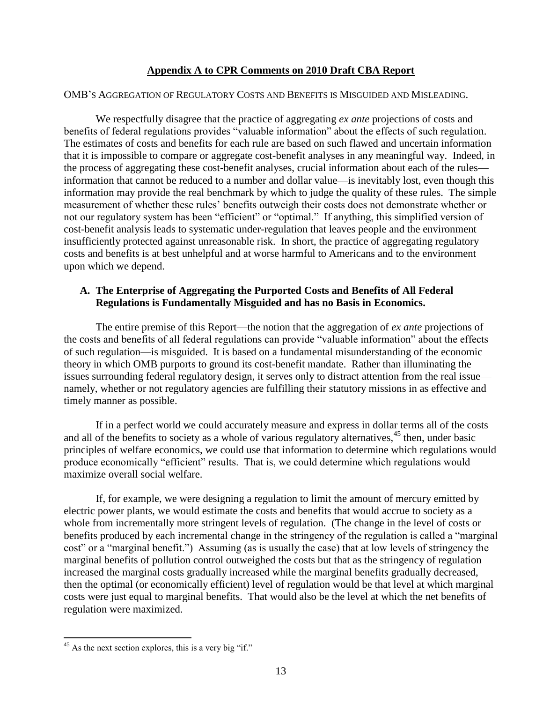### **Appendix A to CPR Comments on 2010 Draft CBA Report**

#### OMB'S AGGREGATION OF REGULATORY COSTS AND BENEFITS IS MISGUIDED AND MISLEADING.

We respectfully disagree that the practice of aggregating *ex ante* projections of costs and benefits of federal regulations provides "valuable information" about the effects of such regulation. The estimates of costs and benefits for each rule are based on such flawed and uncertain information that it is impossible to compare or aggregate cost-benefit analyses in any meaningful way. Indeed, in the process of aggregating these cost-benefit analyses, crucial information about each of the rules information that cannot be reduced to a number and dollar value—is inevitably lost, even though this information may provide the real benchmark by which to judge the quality of these rules. The simple measurement of whether these rules' benefits outweigh their costs does not demonstrate whether or not our regulatory system has been "efficient" or "optimal." If anything, this simplified version of cost-benefit analysis leads to systematic under-regulation that leaves people and the environment insufficiently protected against unreasonable risk. In short, the practice of aggregating regulatory costs and benefits is at best unhelpful and at worse harmful to Americans and to the environment upon which we depend.

### **A. The Enterprise of Aggregating the Purported Costs and Benefits of All Federal Regulations is Fundamentally Misguided and has no Basis in Economics.**

The entire premise of this Report—the notion that the aggregation of *ex ante* projections of the costs and benefits of all federal regulations can provide "valuable information" about the effects of such regulation—is misguided. It is based on a fundamental misunderstanding of the economic theory in which OMB purports to ground its cost-benefit mandate. Rather than illuminating the issues surrounding federal regulatory design, it serves only to distract attention from the real issue namely, whether or not regulatory agencies are fulfilling their statutory missions in as effective and timely manner as possible.

If in a perfect world we could accurately measure and express in dollar terms all of the costs and all of the benefits to society as a whole of various regulatory alternatives,  $45$  then, under basic principles of welfare economics, we could use that information to determine which regulations would produce economically "efficient" results. That is, we could determine which regulations would maximize overall social welfare.

If, for example, we were designing a regulation to limit the amount of mercury emitted by electric power plants, we would estimate the costs and benefits that would accrue to society as a whole from incrementally more stringent levels of regulation. (The change in the level of costs or benefits produced by each incremental change in the stringency of the regulation is called a "marginal" cost" or a "marginal benefit.") Assuming (as is usually the case) that at low levels of stringency the marginal benefits of pollution control outweighed the costs but that as the stringency of regulation increased the marginal costs gradually increased while the marginal benefits gradually decreased, then the optimal (or economically efficient) level of regulation would be that level at which marginal costs were just equal to marginal benefits. That would also be the level at which the net benefits of regulation were maximized.

 $45$  As the next section explores, this is a very big "if."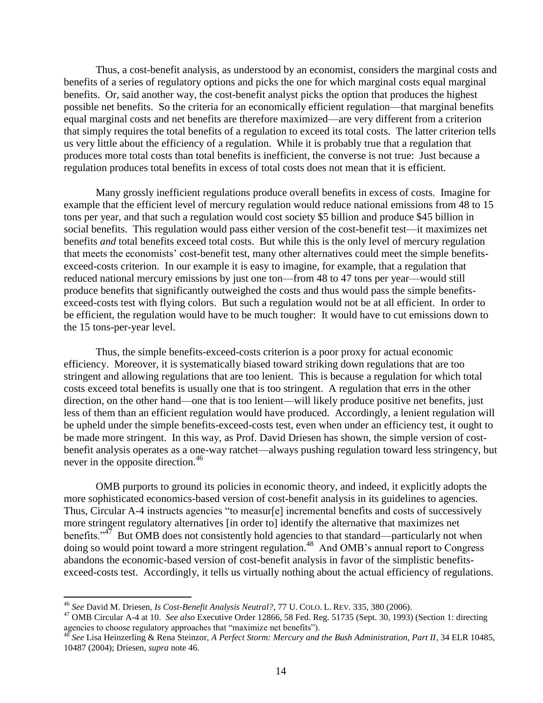Thus, a cost-benefit analysis, as understood by an economist, considers the marginal costs and benefits of a series of regulatory options and picks the one for which marginal costs equal marginal benefits. Or, said another way, the cost-benefit analyst picks the option that produces the highest possible net benefits. So the criteria for an economically efficient regulation—that marginal benefits equal marginal costs and net benefits are therefore maximized—are very different from a criterion that simply requires the total benefits of a regulation to exceed its total costs. The latter criterion tells us very little about the efficiency of a regulation. While it is probably true that a regulation that produces more total costs than total benefits is inefficient, the converse is not true: Just because a regulation produces total benefits in excess of total costs does not mean that it is efficient.

Many grossly inefficient regulations produce overall benefits in excess of costs. Imagine for example that the efficient level of mercury regulation would reduce national emissions from 48 to 15 tons per year, and that such a regulation would cost society \$5 billion and produce \$45 billion in social benefits. This regulation would pass either version of the cost-benefit test—it maximizes net benefits *and* total benefits exceed total costs. But while this is the only level of mercury regulation that meets the economists' cost-benefit test, many other alternatives could meet the simple benefitsexceed-costs criterion. In our example it is easy to imagine, for example, that a regulation that reduced national mercury emissions by just one ton—from 48 to 47 tons per year—would still produce benefits that significantly outweighed the costs and thus would pass the simple benefitsexceed-costs test with flying colors. But such a regulation would not be at all efficient. In order to be efficient, the regulation would have to be much tougher: It would have to cut emissions down to the 15 tons-per-year level.

Thus, the simple benefits-exceed-costs criterion is a poor proxy for actual economic efficiency. Moreover, it is systematically biased toward striking down regulations that are too stringent and allowing regulations that are too lenient. This is because a regulation for which total costs exceed total benefits is usually one that is too stringent. A regulation that errs in the other direction, on the other hand—one that is too lenient—will likely produce positive net benefits, just less of them than an efficient regulation would have produced. Accordingly, a lenient regulation will be upheld under the simple benefits-exceed-costs test, even when under an efficiency test, it ought to be made more stringent. In this way, as Prof. David Driesen has shown, the simple version of costbenefit analysis operates as a one-way ratchet—always pushing regulation toward less stringency, but never in the opposite direction.<sup>46</sup>

OMB purports to ground its policies in economic theory, and indeed, it explicitly adopts the more sophisticated economics-based version of cost-benefit analysis in its guidelines to agencies. Thus, Circular A-4 instructs agencies "to measur[e] incremental benefits and costs of successively more stringent regulatory alternatives [in order to] identify the alternative that maximizes net benefits." $47$  But OMB does not consistently hold agencies to that standard—particularly not when doing so would point toward a more stringent regulation.<sup>48</sup> And OMB's annual report to Congress abandons the economic-based version of cost-benefit analysis in favor of the simplistic benefitsexceed-costs test. Accordingly, it tells us virtually nothing about the actual efficiency of regulations.

<sup>46</sup> *See* David M. Driesen, *Is Cost-Benefit Analysis Neutral?*, 77 U. COLO. L. REV. 335, 380 (2006).

<sup>47</sup> OMB Circular A-4 at 10. *See also* Executive Order 12866, 58 Fed. Reg. 51735 (Sept. 30, 1993) (Section 1: directing agencies to choose regulatory approaches that "maximize net benefits").

<sup>48</sup> *See* Lisa Heinzerling & Rena Steinzor, *A Perfect Storm: Mercury and the Bush Administration, Part II*, 34 ELR 10485, 10487 (2004); Driesen, *supra* note 46.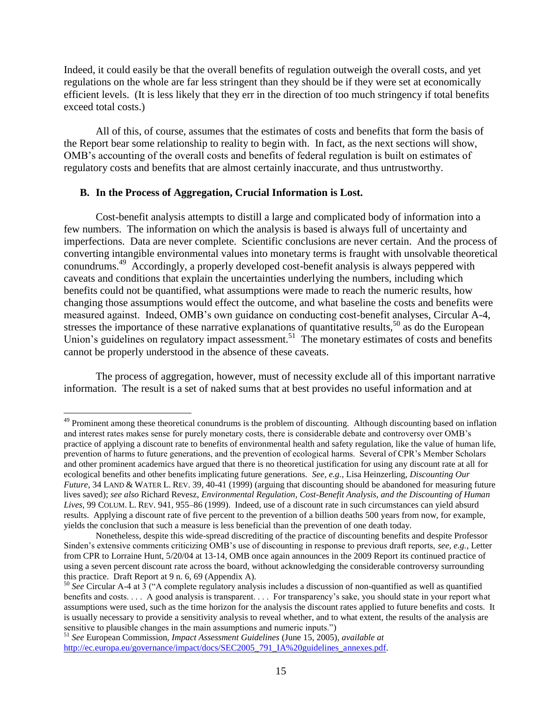Indeed, it could easily be that the overall benefits of regulation outweigh the overall costs, and yet regulations on the whole are far less stringent than they should be if they were set at economically efficient levels. (It is less likely that they err in the direction of too much stringency if total benefits exceed total costs.)

All of this, of course, assumes that the estimates of costs and benefits that form the basis of the Report bear some relationship to reality to begin with. In fact, as the next sections will show, OMB's accounting of the overall costs and benefits of federal regulation is built on estimates of regulatory costs and benefits that are almost certainly inaccurate, and thus untrustworthy.

#### **B. In the Process of Aggregation, Crucial Information is Lost.**

 $\overline{a}$ 

Cost-benefit analysis attempts to distill a large and complicated body of information into a few numbers. The information on which the analysis is based is always full of uncertainty and imperfections. Data are never complete. Scientific conclusions are never certain. And the process of converting intangible environmental values into monetary terms is fraught with unsolvable theoretical conundrums.<sup>49</sup> Accordingly, a properly developed cost-benefit analysis is always peppered with caveats and conditions that explain the uncertainties underlying the numbers, including which benefits could not be quantified, what assumptions were made to reach the numeric results, how changing those assumptions would effect the outcome, and what baseline the costs and benefits were measured against. Indeed, OMB's own guidance on conducting cost-benefit analyses, Circular A-4, stresses the importance of these narrative explanations of quantitative results, $50$  as do the European Union's guidelines on regulatory impact assessment.<sup>51</sup> The monetary estimates of costs and benefits cannot be properly understood in the absence of these caveats.

The process of aggregation, however, must of necessity exclude all of this important narrative information. The result is a set of naked sums that at best provides no useful information and at

<sup>&</sup>lt;sup>49</sup> Prominent among these theoretical conundrums is the problem of discounting. Although discounting based on inflation and interest rates makes sense for purely monetary costs, there is considerable debate and controversy over OMB's practice of applying a discount rate to benefits of environmental health and safety regulation, like the value of human life, prevention of harms to future generations, and the prevention of ecological harms. Several of CPR's Member Scholars and other prominent academics have argued that there is no theoretical justification for using any discount rate at all for ecological benefits and other benefits implicating future generations. *See, e.g.,* Lisa Heinzerling, *Discounting Our Future*, 34 LAND & WATER L. REV. 39, 40-41 (1999) (arguing that discounting should be abandoned for measuring future lives saved); *see also* Richard Revesz, *Environmental Regulation, Cost-Benefit Analysis, and the Discounting of Human Lives*, 99 COLUM. L. REV. 941, 955–86 (1999). Indeed, use of a discount rate in such circumstances can yield absurd results. Applying a discount rate of five percent to the prevention of a billion deaths 500 years from now, for example, yields the conclusion that such a measure is less beneficial than the prevention of one death today.

Nonetheless, despite this wide-spread discrediting of the practice of discounting benefits and despite Professor Sinden's extensive comments criticizing OMB's use of discounting in response to previous draft reports, *see, e.g.*, Letter from CPR to Lorraine Hunt, 5/20/04 at 13-14, OMB once again announces in the 2009 Report its continued practice of using a seven percent discount rate across the board, without acknowledging the considerable controversy surrounding this practice. Draft Report at 9 n. 6, 69 (Appendix A).

<sup>50</sup> *See* Circular A-4 at 3 ("A complete regulatory analysis includes a discussion of non-quantified as well as quantified benefits and costs. . . . A good analysis is transparent. . . . For transparency's sake, you should state in your report what assumptions were used, such as the time horizon for the analysis the discount rates applied to future benefits and costs. It is usually necessary to provide a sensitivity analysis to reveal whether, and to what extent, the results of the analysis are sensitive to plausible changes in the main assumptions and numeric inputs.")

<sup>51</sup> *See* European Commission, *Impact Assessment Guidelines* (June 15, 2005), *available at* [http://ec.europa.eu/governance/impact/docs/SEC2005\\_791\\_IA%20guidelines\\_annexes.pdf.](http://ec.europa.eu/governance/impact/docs/SEC2005_791_IA%20guidelines_annexes.pdf)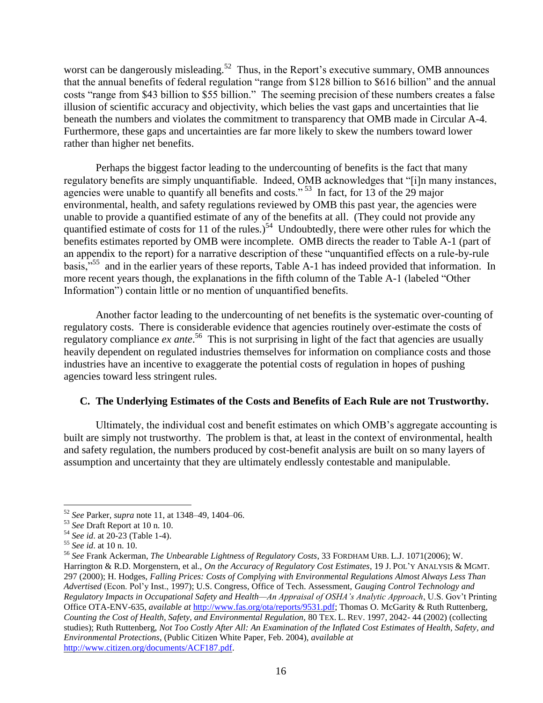worst can be dangerously misleading.<sup>52</sup> Thus, in the Report's executive summary, OMB announces that the annual benefits of federal regulation "range from \$128 billion to \$616 billion" and the annual costs "range from \$43 billion to \$55 billion." The seeming precision of these numbers creates a false illusion of scientific accuracy and objectivity, which belies the vast gaps and uncertainties that lie beneath the numbers and violates the commitment to transparency that OMB made in Circular A-4. Furthermore, these gaps and uncertainties are far more likely to skew the numbers toward lower rather than higher net benefits.

Perhaps the biggest factor leading to the undercounting of benefits is the fact that many regulatory benefits are simply unquantifiable. Indeed, OMB acknowledges that "[i]n many instances, agencies were unable to quantify all benefits and costs."<sup>53</sup> In fact, for 13 of the 29 major environmental, health, and safety regulations reviewed by OMB this past year, the agencies were unable to provide a quantified estimate of any of the benefits at all. (They could not provide any quantified estimate of costs for 11 of the rules.)<sup>54</sup> Undoubtedly, there were other rules for which the benefits estimates reported by OMB were incomplete. OMB directs the reader to Table A-1 (part of an appendix to the report) for a narrative description of these "unquantified effects on a rule-by-rule basis,"<sup>55</sup> and in the earlier years of these reports, Table A-1 has indeed provided that information. In more recent years though, the explanations in the fifth column of the Table A-1 (labeled "Other Information") contain little or no mention of unquantified benefits.

Another factor leading to the undercounting of net benefits is the systematic over-counting of regulatory costs. There is considerable evidence that agencies routinely over-estimate the costs of regulatory compliance *ex ante*.<sup>56</sup> This is not surprising in light of the fact that agencies are usually heavily dependent on regulated industries themselves for information on compliance costs and those industries have an incentive to exaggerate the potential costs of regulation in hopes of pushing agencies toward less stringent rules.

### **C. The Underlying Estimates of the Costs and Benefits of Each Rule are not Trustworthy.**

Ultimately, the individual cost and benefit estimates on which OMB's aggregate accounting is built are simply not trustworthy. The problem is that, at least in the context of environmental, health and safety regulation, the numbers produced by cost-benefit analysis are built on so many layers of assumption and uncertainty that they are ultimately endlessly contestable and manipulable.

 $\overline{a}$ <sup>52</sup> *See* Parker, *supra* note 11, at 1348–49, 1404–06.

<sup>53</sup> *See* Draft Report at 10 n. 10.

<sup>54</sup> *See id*. at 20-23 (Table 1-4).

<sup>55</sup> *See id*. at 10 n. 10.

<sup>56</sup> *See* Frank Ackerman, *The Unbearable Lightness of Regulatory Costs*, 33 FORDHAM URB. L.J. 1071(2006); W. Harrington & R.D. Morgenstern, et al., *On the Accuracy of Regulatory Cost Estimates*, 19 J. POL'Y ANALYSIS & MGMT. 297 (2000); H. Hodges, *Falling Prices: Costs of Complying with Environmental Regulations Almost Always Less Than Advertised* (Econ. Pol'y Inst., 1997); U.S. Congress, Office of Tech. Assessment, *Gauging Control Technology and Regulatory Impacts in Occupational Safety and Health—An Appraisal of OSHA's Analytic Approach*, U.S. Gov't Printing Office OTA-ENV-635, *available at* [http://www.fas.org/ota/reports/9531.pdf;](http://www.fas.org/ota/reports/9531.pdf) Thomas O. McGarity & Ruth Ruttenberg, *Counting the Cost of Health, Safety, and Environmental Regulation,* 80 TEX. L. REV. 1997, 2042- 44 (2002) (collecting studies); Ruth Ruttenberg, *Not Too Costly After All: An Examination of the Inflated Cost Estimates of Health, Safety, and Environmental Protections*, (Public Citizen White Paper, Feb. 2004), *available at* [http://www.citizen.org/documents/ACF187.pdf.](http://www.citizen.org/documents/ACF187.pdf)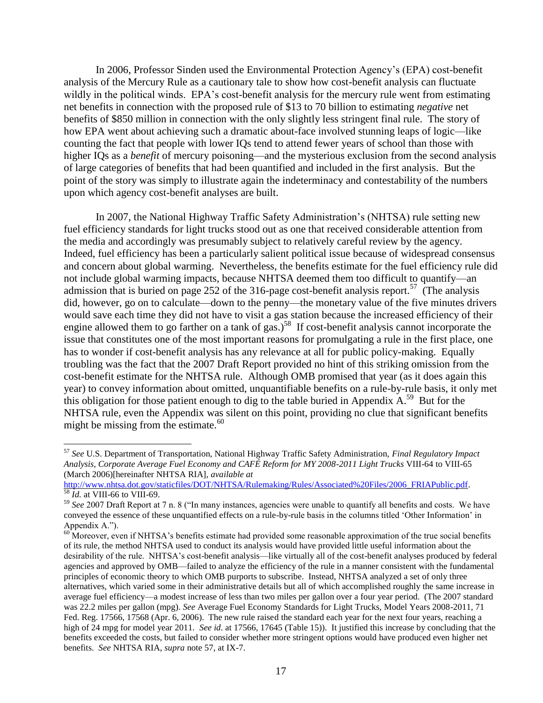In 2006, Professor Sinden used the Environmental Protection Agency's (EPA) cost-benefit analysis of the Mercury Rule as a cautionary tale to show how cost-benefit analysis can fluctuate wildly in the political winds. EPA's cost-benefit analysis for the mercury rule went from estimating net benefits in connection with the proposed rule of \$13 to 70 billion to estimating *negative* net benefits of \$850 million in connection with the only slightly less stringent final rule. The story of how EPA went about achieving such a dramatic about-face involved stunning leaps of logic—like counting the fact that people with lower IQs tend to attend fewer years of school than those with higher IQs as a *benefit* of mercury poisoning—and the mysterious exclusion from the second analysis of large categories of benefits that had been quantified and included in the first analysis. But the point of the story was simply to illustrate again the indeterminacy and contestability of the numbers upon which agency cost-benefit analyses are built.

In 2007, the National Highway Traffic Safety Administration's (NHTSA) rule setting new fuel efficiency standards for light trucks stood out as one that received considerable attention from the media and accordingly was presumably subject to relatively careful review by the agency. Indeed, fuel efficiency has been a particularly salient political issue because of widespread consensus and concern about global warming. Nevertheless, the benefits estimate for the fuel efficiency rule did not include global warming impacts, because NHTSA deemed them too difficult to quantify—an admission that is buried on page 252 of the 316-page cost-benefit analysis report.<sup>57</sup> (The analysis did, however, go on to calculate—down to the penny—the monetary value of the five minutes drivers would save each time they did not have to visit a gas station because the increased efficiency of their engine allowed them to go farther on a tank of gas.)<sup>58</sup> If cost-benefit analysis cannot incorporate the issue that constitutes one of the most important reasons for promulgating a rule in the first place, one has to wonder if cost-benefit analysis has any relevance at all for public policy-making. Equally troubling was the fact that the 2007 Draft Report provided no hint of this striking omission from the cost-benefit estimate for the NHTSA rule. Although OMB promised that year (as it does again this year) to convey information about omitted, unquantifiable benefits on a rule-by-rule basis, it only met this obligation for those patient enough to dig to the table buried in Appendix  $A$ <sup>59</sup> But for the NHTSA rule, even the Appendix was silent on this point, providing no clue that significant benefits might be missing from the estimate. $60$ 

<sup>57</sup> *See* U.S. Department of Transportation, National Highway Traffic Safety Administration, *Final Regulatory Impact Analysis, Corporate Average Fuel Economy and CAFÉ Reform for MY 2008-2011 Light Trucks* VIII-64 to VIII-65 (March 2006)[hereinafter NHTSA RIA], *available at*

[http://www.nhtsa.dot.gov/staticfiles/DOT/NHTSA/Rulemaking/Rules/Associated%20Files/2006\\_FRIAPublic.pdf.](http://www.nhtsa.dot.gov/staticfiles/DOT/NHTSA/Rulemaking/Rules/Associated%20Files/2006_FRIAPublic.pdf) <sup>58</sup> *Id.* at VIII-66 to VIII-69.

<sup>59</sup> See 2007 Draft Report at 7 n. 8 ("In many instances, agencies were unable to quantify all benefits and costs. We have conveyed the essence of these unquantified effects on a rule-by-rule basis in the columns titled 'Other Information' in Appendix A.").

<sup>&</sup>lt;sup>60</sup> Moreover, even if NHTSA's benefits estimate had provided some reasonable approximation of the true social benefits of its rule, the method NHTSA used to conduct its analysis would have provided little useful information about the desirability of the rule. NHTSA's cost-benefit analysis—like virtually all of the cost-benefit analyses produced by federal agencies and approved by OMB—failed to analyze the efficiency of the rule in a manner consistent with the fundamental principles of economic theory to which OMB purports to subscribe. Instead, NHTSA analyzed a set of only three alternatives, which varied some in their administrative details but all of which accomplished roughly the same increase in average fuel efficiency—a modest increase of less than two miles per gallon over a four year period. (The 2007 standard was 22.2 miles per gallon (mpg). *See* Average Fuel Economy Standards for Light Trucks, Model Years 2008-2011, 71 Fed. Reg. 17566, 17568 (Apr. 6, 2006). The new rule raised the standard each year for the next four years, reaching a high of 24 mpg for model year 2011. *See id*. at 17566, 17645 (Table 15)). It justified this increase by concluding that the benefits exceeded the costs, but failed to consider whether more stringent options would have produced even higher net benefits. *See* NHTSA RIA, *supra* note 57, at IX-7.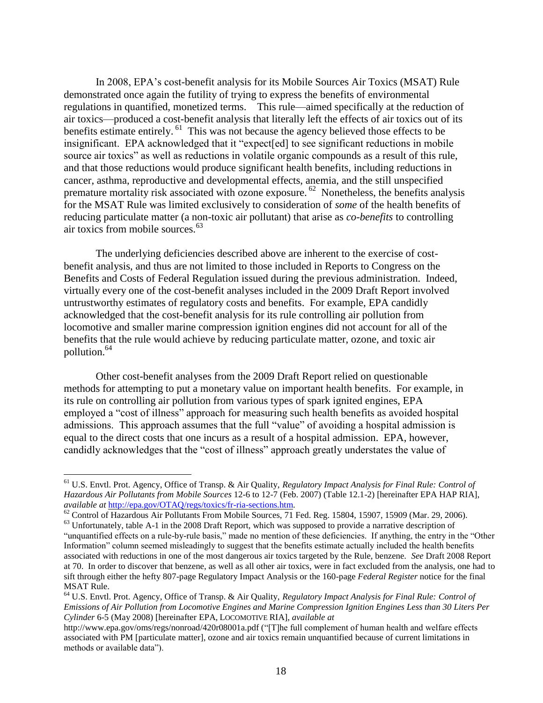In 2008, EPA's cost-benefit analysis for its Mobile Sources Air Toxics (MSAT) Rule demonstrated once again the futility of trying to express the benefits of environmental regulations in quantified, monetized terms. This rule—aimed specifically at the reduction of air toxics—produced a cost-benefit analysis that literally left the effects of air toxics out of its benefits estimate entirely. <sup>61</sup> This was not because the agency believed those effects to be insignificant. EPA acknowledged that it "expect[ed] to see significant reductions in mobile source air toxics" as well as reductions in volatile organic compounds as a result of this rule, and that those reductions would produce significant health benefits, including reductions in cancer, asthma, reproductive and developmental effects, anemia, and the still unspecified premature mortality risk associated with ozone exposure.<sup>62</sup> Nonetheless, the benefits analysis for the MSAT Rule was limited exclusively to consideration of *some* of the health benefits of reducing particulate matter (a non-toxic air pollutant) that arise as *co-benefits* to controlling air toxics from mobile sources.<sup>63</sup>

The underlying deficiencies described above are inherent to the exercise of costbenefit analysis, and thus are not limited to those included in Reports to Congress on the Benefits and Costs of Federal Regulation issued during the previous administration. Indeed, virtually every one of the cost-benefit analyses included in the 2009 Draft Report involved untrustworthy estimates of regulatory costs and benefits. For example, EPA candidly acknowledged that the cost-benefit analysis for its rule controlling air pollution from locomotive and smaller marine compression ignition engines did not account for all of the benefits that the rule would achieve by reducing particulate matter, ozone, and toxic air pollution.<sup>64</sup>

Other cost-benefit analyses from the 2009 Draft Report relied on questionable methods for attempting to put a monetary value on important health benefits. For example, in its rule on controlling air pollution from various types of spark ignited engines, EPA employed a "cost of illness" approach for measuring such health benefits as avoided hospital admissions. This approach assumes that the full "value" of avoiding a hospital admission is equal to the direct costs that one incurs as a result of a hospital admission. EPA, however, candidly acknowledges that the "cost of illness" approach greatly understates the value of

<sup>61</sup> U.S. Envtl. Prot. Agency, Office of Transp. & Air Quality, *Regulatory Impact Analysis for Final Rule: Control of Hazardous Air Pollutants from Mobile Sources* 12-6 to 12-7 (Feb. 2007) (Table 12.1-2) [hereinafter EPA HAP RIA], *available at* [http://epa.gov/OTAQ/regs/toxics/fr-ria-sections.htm.](http://epa.gov/OTAQ/regs/toxics/fr-ria-sections.htm)

<sup>&</sup>lt;sup>62</sup> Control of Hazardous Air Pollutants From Mobile Sources, 71 Fed. Reg. 15804, 15907, 15909 (Mar. 29, 2006).

<sup>&</sup>lt;sup>63</sup> Unfortunately, table A-1 in the 2008 Draft Report, which was supposed to provide a narrative description of

<sup>&</sup>quot;unquantified effects on a rule-by-rule basis," made no mention of these deficiencies. If anything, the entry in the "Other Information" column seemed misleadingly to suggest that the benefits estimate actually included the health benefits associated with reductions in one of the most dangerous air toxics targeted by the Rule, benzene. *See* Draft 2008 Report at 70. In order to discover that benzene, as well as all other air toxics, were in fact excluded from the analysis, one had to sift through either the hefty 807-page Regulatory Impact Analysis or the 160-page *Federal Register* notice for the final MSAT Rule.

<sup>64</sup> U.S. Envtl. Prot. Agency, Office of Transp. & Air Quality, *Regulatory Impact Analysis for Final Rule: Control of Emissions of Air Pollution from Locomotive Engines and Marine Compression Ignition Engines Less than 30 Liters Per Cylinder* 6-5 (May 2008) [hereinafter EPA, LOCOMOTIVE RIA], *available at*

http://www.epa.gov/oms/regs/nonroad/420r08001a.pdf ("[T]he full complement of human health and welfare effects associated with PM [particulate matter], ozone and air toxics remain unquantified because of current limitations in methods or available data").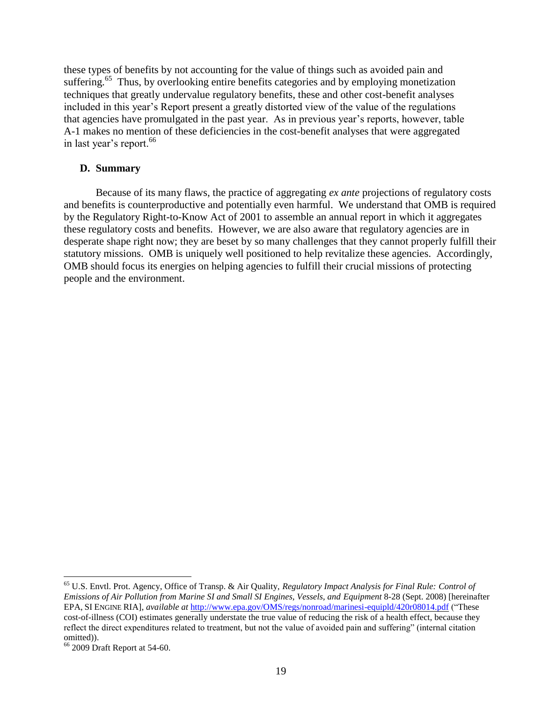these types of benefits by not accounting for the value of things such as avoided pain and suffering.<sup>65</sup> Thus, by overlooking entire benefits categories and by employing monetization techniques that greatly undervalue regulatory benefits, these and other cost-benefit analyses included in this year's Report present a greatly distorted view of the value of the regulations that agencies have promulgated in the past year. As in previous year's reports, however, table A-1 makes no mention of these deficiencies in the cost-benefit analyses that were aggregated in last year's report.<sup>66</sup>

#### **D. Summary**

Because of its many flaws, the practice of aggregating *ex ante* projections of regulatory costs and benefits is counterproductive and potentially even harmful. We understand that OMB is required by the Regulatory Right-to-Know Act of 2001 to assemble an annual report in which it aggregates these regulatory costs and benefits. However, we are also aware that regulatory agencies are in desperate shape right now; they are beset by so many challenges that they cannot properly fulfill their statutory missions. OMB is uniquely well positioned to help revitalize these agencies. Accordingly, OMB should focus its energies on helping agencies to fulfill their crucial missions of protecting people and the environment.

<sup>65</sup> U.S. Envtl. Prot. Agency, Office of Transp. & Air Quality, *Regulatory Impact Analysis for Final Rule: Control of Emissions of Air Pollution from Marine SI and Small SI Engines, Vessels, and Equipment* 8-28 (Sept. 2008) [hereinafter EPA, SI ENGINE RIA], *available at* <http://www.epa.gov/OMS/regs/nonroad/marinesi-equipld/420r08014.pdf> ("These cost-of-illness (COI) estimates generally understate the true value of reducing the risk of a health effect, because they reflect the direct expenditures related to treatment, but not the value of avoided pain and suffering" (internal citation omitted)).

<sup>66</sup> 2009 Draft Report at 54-60.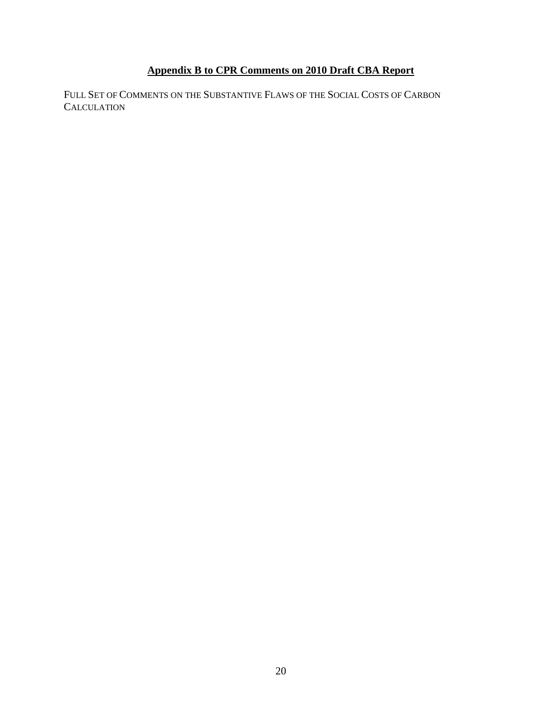# **Appendix B to CPR Comments on 2010 Draft CBA Report**

FULL SET OF COMMENTS ON THE SUBSTANTIVE FLAWS OF THE SOCIAL COSTS OF CARBON **CALCULATION**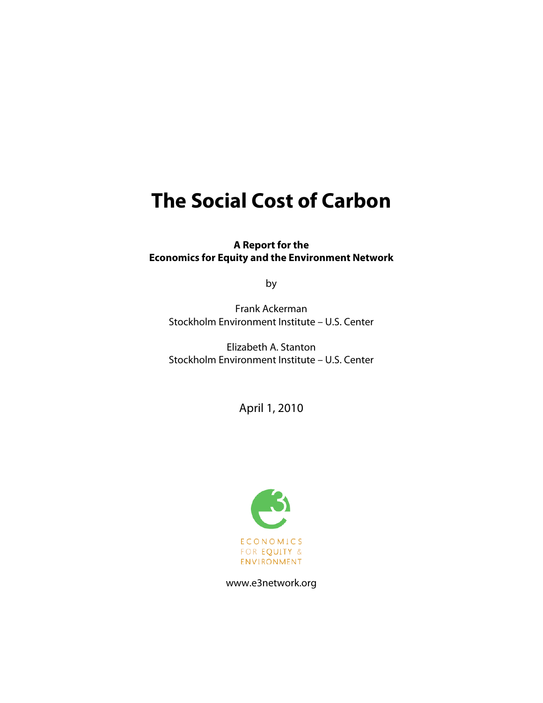# **The Social Cost of Carbon**

**A Report for the Economics for Equity and the Environment Network**

by

Frank Ackerman Stockholm Environment Institute – U.S. Center

Elizabeth A. Stanton Stockholm Environment Institute – U.S. Center

April 1, 2010



www.e3network.org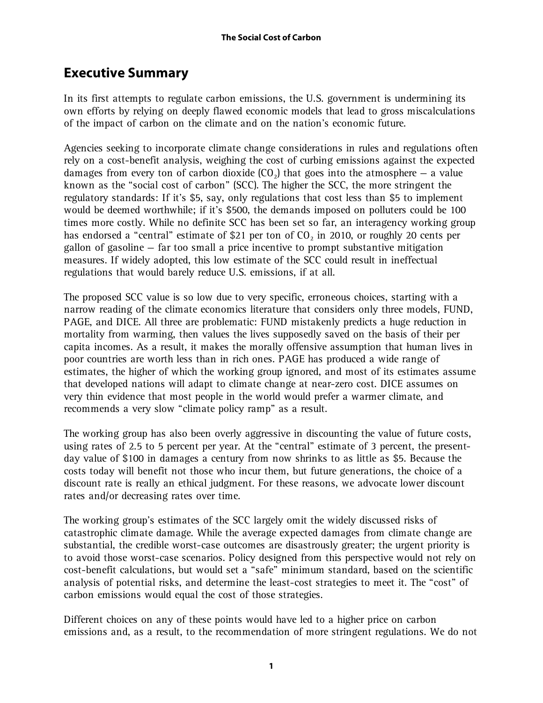# **Executive Summary**

In its first attempts to regulate carbon emissions, the U.S. government is undermining its own efforts by relying on deeply flawed economic models that lead to gross miscalculations of the impact of carbon on the climate and on the nation's economic future.

Agencies seeking to incorporate climate change considerations in rules and regulations often rely on a cost-benefit analysis, weighing the cost of curbing emissions against the expected damages from every ton of carbon dioxide  $(CO<sub>2</sub>)$  that goes into the atmosphere – a value known as the "social cost of carbon" (SCC). The higher the SCC, the more stringent the regulatory standards: If it's \$5, say, only regulations that cost less than \$5 to implement would be deemed worthwhile; if it's \$500, the demands imposed on polluters could be 100 times more costly. While no definite SCC has been set so far, an interagency working group has endorsed a "central" estimate of \$21 per ton of  $CO<sub>2</sub>$  in 2010, or roughly 20 cents per gallon of gasoline — far too small a price incentive to prompt substantive mitigation measures. If widely adopted, this low estimate of the SCC could result in ineffectual regulations that would barely reduce U.S. emissions, if at all.

The proposed SCC value is so low due to very specific, erroneous choices, starting with a narrow reading of the climate economics literature that considers only three models, FUND, PAGE, and DICE. All three are problematic: FUND mistakenly predicts a huge reduction in mortality from warming, then values the lives supposedly saved on the basis of their per capita incomes. As a result, it makes the morally offensive assumption that human lives in poor countries are worth less than in rich ones. PAGE has produced a wide range of estimates, the higher of which the working group ignored, and most of its estimates assume that developed nations will adapt to climate change at near-zero cost. DICE assumes on very thin evidence that most people in the world would prefer a warmer climate, and recommends a very slow "climate policy ramp" as a result.

The working group has also been overly aggressive in discounting the value of future costs, using rates of 2.5 to 5 percent per year. At the "central" estimate of 3 percent, the presentday value of \$100 in damages a century from now shrinks to as little as \$5. Because the costs today will benefit not those who incur them, but future generations, the choice of a discount rate is really an ethical judgment. For these reasons, we advocate lower discount rates and/or decreasing rates over time.

The working group's estimates of the SCC largely omit the widely discussed risks of catastrophic climate damage. While the average expected damages from climate change are substantial, the credible worst-case outcomes are disastrously greater; the urgent priority is to avoid those worst-case scenarios. Policy designed from this perspective would not rely on cost-benefit calculations, but would set a "safe" minimum standard, based on the scientific analysis of potential risks, and determine the least-cost strategies to meet it. The "cost" of carbon emissions would equal the cost of those strategies.

Different choices on any of these points would have led to a higher price on carbon emissions and, as a result, to the recommendation of more stringent regulations. We do not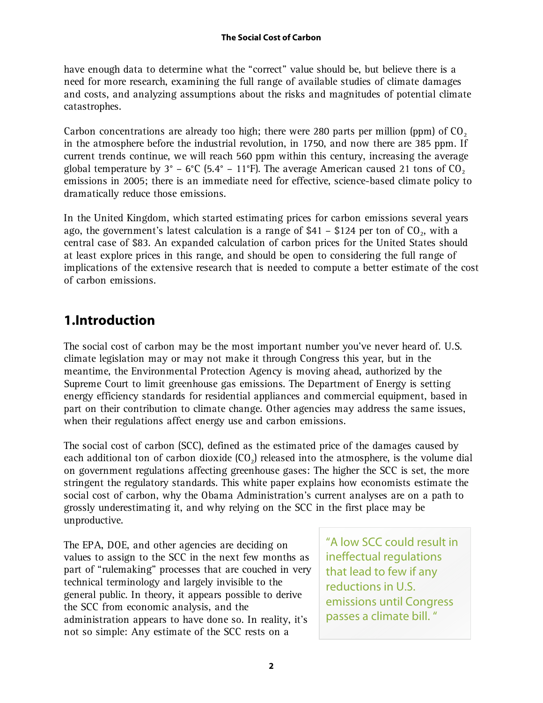have enough data to determine what the "correct" value should be, but believe there is a need for more research, examining the full range of available studies of climate damages and costs, and analyzing assumptions about the risks and magnitudes of potential climate catastrophes.

Carbon concentrations are already too high; there were 280 parts per million (ppm) of  $CO<sub>2</sub>$ in the atmosphere before the industrial revolution, in 1750, and now there are 385 ppm. If current trends continue, we will reach 560 ppm within this century, increasing the average global temperature by  $3^{\circ}$  – 6°C (5.4° – 11°F). The average American caused 21 tons of CO<sub>2</sub> emissions in 2005; there is an immediate need for effective, science-based climate policy to dramatically reduce those emissions.

In the United Kingdom, which started estimating prices for carbon emissions several years ago, the government's latest calculation is a range of \$41 – \$124 per ton of  $CO<sub>2</sub>$ , with a central case of \$83. An expanded calculation of carbon prices for the United States should at least explore prices in this range, and should be open to considering the full range of implications of the extensive research that is needed to compute a better estimate of the cost of carbon emissions.

# **1.Introduction**

The social cost of carbon may be the most important number you've never heard of. U.S. climate legislation may or may not make it through Congress this year, but in the meantime, the Environmental Protection Agency is moving ahead, authorized by the Supreme Court to limit greenhouse gas emissions. The Department of Energy is setting energy efficiency standards for residential appliances and commercial equipment, based in part on their contribution to climate change. Other agencies may address the same issues, when their regulations affect energy use and carbon emissions.

The social cost of carbon (SCC), defined as the estimated price of the damages caused by each additional ton of carbon dioxide  $(CO<sub>2</sub>)$  released into the atmosphere, is the volume dial on government regulations affecting greenhouse gases: The higher the SCC is set, the more stringent the regulatory standards. This white paper explains how economists estimate the social cost of carbon, why the Obama Administration's current analyses are on a path to grossly underestimating it, and why relying on the SCC in the first place may be unproductive.

The EPA, DOE, and other agencies are deciding on values to assign to the SCC in the next few months as part of "rulemaking" processes that are couched in very technical terminology and largely invisible to the general public. In theory, it appears possible to derive the SCC from economic analysis, and the administration appears to have done so. In reality, it's not so simple: Any estimate of the SCC rests on a

"A low SCC could result in ineffectual regulations that lead to few if any reductions in U.S. emissions until Congress passes a climate bill. "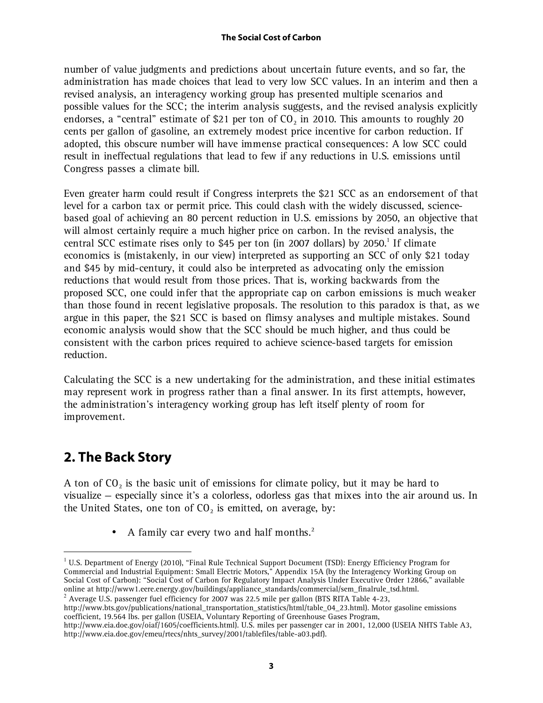number of value judgments and predictions about uncertain future events, and so far, the administration has made choices that lead to very low SCC values. In an interim and then a revised analysis, an interagency working group has presented multiple scenarios and possible values for the SCC; the interim analysis suggests, and the revised analysis explicitly endorses, a "central" estimate of \$21 per ton of  $CO<sub>2</sub>$  in 2010. This amounts to roughly 20 cents per gallon of gasoline, an extremely modest price incentive for carbon reduction. If adopted, this obscure number will have immense practical consequences: A low SCC could result in ineffectual regulations that lead to few if any reductions in U.S. emissions until Congress passes a climate bill.

Even greater harm could result if Congress interprets the \$21 SCC as an endorsement of that level for a carbon tax or permit price. This could clash with the widely discussed, sciencebased goal of achieving an 80 percent reduction in U.S. emissions by 2050, an objective that will almost certainly require a much higher price on carbon. In the revised analysis, the central SCC estimate rises only to \$45 per ton (in 2007 dollars) by 2050.<sup>1</sup> If climate economics is (mistakenly, in our view) interpreted as supporting an SCC of only \$21 today and \$45 by mid-century, it could also be interpreted as advocating only the emission reductions that would result from those prices. That is, working backwards from the proposed SCC, one could infer that the appropriate cap on carbon emissions is much weaker than those found in recent legislative proposals. The resolution to this paradox is that, as we argue in this paper, the \$21 SCC is based on flimsy analyses and multiple mistakes. Sound economic analysis would show that the SCC should be much higher, and thus could be consistent with the carbon prices required to achieve science-based targets for emission reduction.

Calculating the SCC is a new undertaking for the administration, and these initial estimates may represent work in progress rather than a final answer. In its first attempts, however, the administration's interagency working group has left itself plenty of room for improvement.

# **2. The Back Story**

 $\overline{a}$ 

A ton of  $CO<sub>2</sub>$  is the basic unit of emissions for climate policy, but it may be hard to visualize — especially since it's a colorless, odorless gas that mixes into the air around us. In the United States, one ton of  $CO<sub>2</sub>$  is emitted, on average, by:

• A family car every two and half months. $<sup>2</sup>$ </sup>

<sup>&</sup>lt;sup>1</sup> U.S. Department of Energy (2010), "Final Rule Technical Support Document (TSD): Energy Efficiency Program for Commercial and Industrial Equipment: Small Electric Motors," Appendix 15A (by the Interagency Working Group on Social Cost of Carbon): "Social Cost of Carbon for Regulatory Impact Analysis Under Executive Order 12866," available online at http://www1.eere.energy.gov/buildings/appliance\_standards/commercial/sem\_finalrule\_tsd.html.

 $^2$  Average U.S. passenger fuel efficiency for 2007 was 22.5 mile per gallon (BTS RITA Table 4-23,

http://www.bts.gov/publications/national\_transportation\_statistics/html/table\_04\_23.html). Motor gasoline emissions coefficient, 19.564 lbs. per gallon (USEIA, Voluntary Reporting of Greenhouse Gases Program,

http://www.eia.doe.gov/oiaf/1605/coefficients.html). U.S. miles per passenger car in 2001, 12,000 (USEIA NHTS Table A3, http://www.eia.doe.gov/emeu/rtecs/nhts\_survey/2001/tablefiles/table-a03.pdf).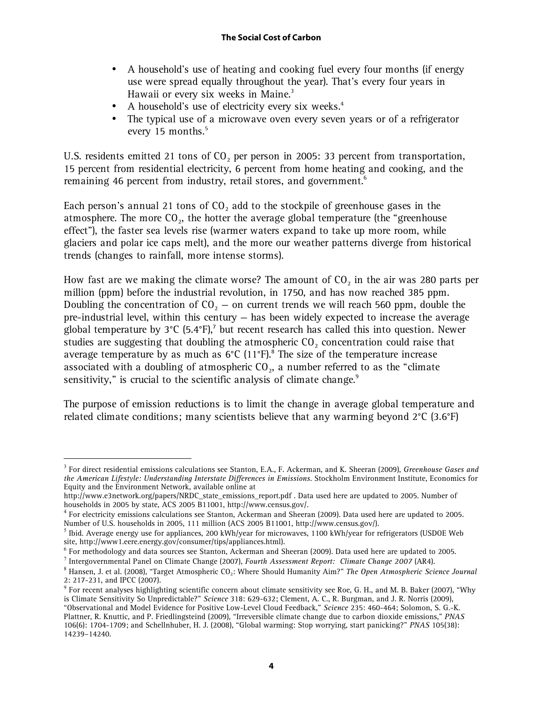- A household's use of heating and cooking fuel every four months (if energy use were spread equally throughout the year). That's every four years in Hawaii or every six weeks in Maine.<sup>3</sup>
- A household's use of electricity every six weeks.<sup>4</sup>
- The typical use of a microwave oven every seven years or of a refrigerator every 15 months.<sup>5</sup>

U.S. residents emitted 21 tons of  $CO<sub>2</sub>$  per person in 2005: 33 percent from transportation, 15 percent from residential electricity, 6 percent from home heating and cooking, and the remaining 46 percent from industry, retail stores, and government.<sup>6</sup>

Each person's annual 21 tons of  $CO<sub>2</sub>$  add to the stockpile of greenhouse gases in the atmosphere. The more  $CO<sub>2</sub>$ , the hotter the average global temperature (the "greenhouse effect"), the faster sea levels rise (warmer waters expand to take up more room, while glaciers and polar ice caps melt), and the more our weather patterns diverge from historical trends (changes to rainfall, more intense storms).

How fast are we making the climate worse? The amount of  $CO<sub>2</sub>$  in the air was 280 parts per million (ppm) before the industrial revolution, in 1750, and has now reached 385 ppm. Doubling the concentration of  $CO<sub>2</sub> -$  on current trends we will reach 560 ppm, double the pre-industrial level, within this century — has been widely expected to increase the average global temperature by  $3^{\circ}$ C (5.4 $^{\circ}$ F),<sup>7</sup> but recent research has called this into question. Newer studies are suggesting that doubling the atmospheric  $CO<sub>2</sub>$  concentration could raise that average temperature by as much as  $6^{\circ}C$  (11 $^{\circ}F$ ).<sup>8</sup> The size of the temperature increase associated with a doubling of atmospheric  $CO<sub>2</sub>$ , a number referred to as the "climate sensitivity," is crucial to the scientific analysis of climate change.<sup>9</sup>

The purpose of emission reductions is to limit the change in average global temperature and related climate conditions; many scientists believe that any warming beyond  $2^{\circ}C$  (3.6°F)

<sup>3</sup> For direct residential emissions calculations see Stanton, E.A., F. Ackerman, and K. Sheeran (2009), *Greenhouse Gases and the American Lifestyle: Understanding Interstate Differences in Emissions*. Stockholm Environment Institute, Economics for Equity and the Environment Network, available online at

http://www.e3network.org/papers/NRDC\_state\_emissions\_report.pdf . Data used here are updated to 2005. Number of households in 2005 by state, ACS 2005 B11001, http://www.census.gov/.

 $^4$  For electricity emissions calculations see Stanton, Ackerman and Sheeran (2009). Data used here are updated to 2005. Number of U.S. households in 2005, 111 million (ACS 2005 B11001, http://www.census.gov/).

 $^5$  Ibid. Average energy use for appliances, 200 kWh/year for microwaves, 1100 kWh/year for refrigerators (USDOE Web site, http://www1.eere.energy.gov/consumer/tips/appliances.html).

 $^6$  For methodology and data sources see Stanton, Ackerman and Sheeran (2009). Data used here are updated to 2005.

<sup>7</sup> Intergovernmental Panel on Climate Change (2007), *Fourth Assessment Report: Climate Change 2007* (AR4).

 $^8$  Hansen, J. et al. (2008), "Target Atmospheric CO $_2$ : Where Should Humanity Aim?" *The Open Atmospheric Science Journal* 2: 217-231, and IPCC (2007).

 $9$  For recent analyses highlighting scientific concern about climate sensitivity see Roe, G. H., and M. B. Baker (2007), "Why is Climate Sensitivity So Unpredictable?" *Science* 318: 629-632; Clement, A. C., R. Burgman, and J. R. Norris (2009), "Observational and Model Evidence for Positive Low-Level Cloud Feedback," *Science* 235: 460-464; Solomon, S. G.-K. Plattner, R. Knuttic, and P. Friedlingsteind (2009), "Irreversible climate change due to carbon dioxide emissions," *PNAS* 106(6): 1704-1709; and Schellnhuber, H. J. (2008), "Global warming: Stop worrying, start panicking?" *PNAS* 105(38): 14239–14240.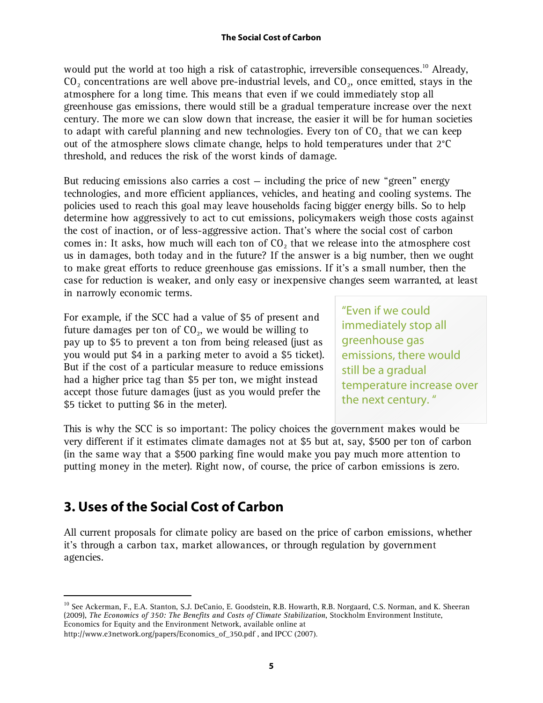would put the world at too high a risk of catastrophic, irreversible consequences.<sup>10</sup> Already,  $CO<sub>2</sub>$  concentrations are well above pre-industrial levels, and  $CO<sub>2</sub>$ , once emitted, stays in the atmosphere for a long time. This means that even if we could immediately stop all greenhouse gas emissions, there would still be a gradual temperature increase over the next century. The more we can slow down that increase, the easier it will be for human societies to adapt with careful planning and new technologies. Every ton of  $CO<sub>2</sub>$  that we can keep out of the atmosphere slows climate change, helps to hold temperatures under that 2°C threshold, and reduces the risk of the worst kinds of damage.

But reducing emissions also carries a cost  $-$  including the price of new "green" energy technologies, and more efficient appliances, vehicles, and heating and cooling systems. The policies used to reach this goal may leave households facing bigger energy bills. So to help determine how aggressively to act to cut emissions, policymakers weigh those costs against the cost of inaction, or of less-aggressive action. That's where the social cost of carbon comes in: It asks, how much will each ton of  $CO<sub>2</sub>$  that we release into the atmosphere cost us in damages, both today and in the future? If the answer is a big number, then we ought to make great efforts to reduce greenhouse gas emissions. If it's a small number, then the case for reduction is weaker, and only easy or inexpensive changes seem warranted, at least in narrowly economic terms.

For example, if the SCC had a value of \$5 of present and future damages per ton of  $CO<sub>2</sub>$ , we would be willing to pay up to \$5 to prevent a ton from being released (just as you would put \$4 in a parking meter to avoid a \$5 ticket). But if the cost of a particular measure to reduce emissions had a higher price tag than \$5 per ton, we might instead accept those future damages (just as you would prefer the \$5 ticket to putting \$6 in the meter).

"Even if we could immediately stop all greenhouse gas emissions, there would still be a gradual temperature increase over the next century. "

This is why the SCC is so important: The policy choices the government makes would be very different if it estimates climate damages not at \$5 but at, say, \$500 per ton of carbon (in the same way that a \$500 parking fine would make you pay much more attention to putting money in the meter). Right now, of course, the price of carbon emissions is zero.

# **3. Uses of the Social Cost of Carbon**

 $\overline{a}$ 

All current proposals for climate policy are based on the price of carbon emissions, whether it's through a carbon tax, market allowances, or through regulation by government agencies.

<sup>&</sup>lt;sup>10</sup> See Ackerman, F., E.A. Stanton, S.J. DeCanio, E. Goodstein, R.B. Howarth, R.B. Norgaard, C.S. Norman, and K. Sheeran (2009), *The Economics of 350: The Benefits and Costs of Climate Stabilization*, Stockholm Environment Institute, Economics for Equity and the Environment Network, available online at

http://www.e3network.org/papers/Economics\_of\_350.pdf , and IPCC (2007).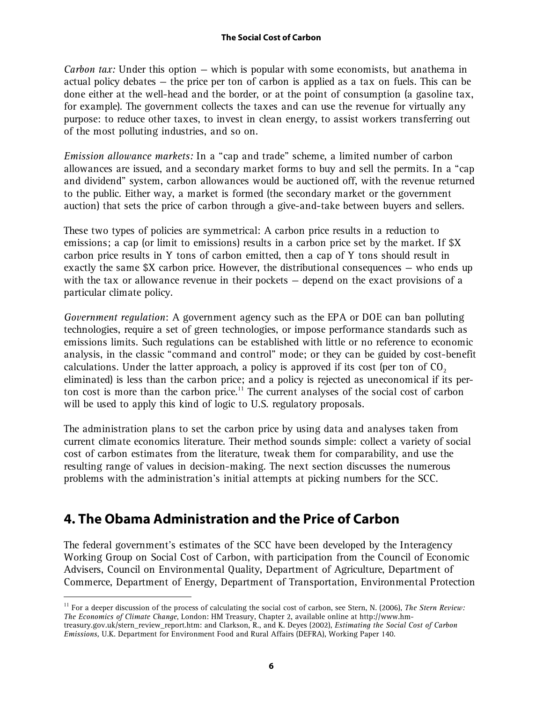*Carbon tax:* Under this option — which is popular with some economists, but anathema in actual policy debates — the price per ton of carbon is applied as a tax on fuels. This can be done either at the well-head and the border, or at the point of consumption (a gasoline tax, for example). The government collects the taxes and can use the revenue for virtually any purpose: to reduce other taxes, to invest in clean energy, to assist workers transferring out of the most polluting industries, and so on.

*Emission allowance markets:* In a "cap and trade" scheme, a limited number of carbon allowances are issued, and a secondary market forms to buy and sell the permits. In a "cap and dividend" system, carbon allowances would be auctioned off, with the revenue returned to the public. Either way, a market is formed (the secondary market or the government auction) that sets the price of carbon through a give-and-take between buyers and sellers.

These two types of policies are symmetrical: A carbon price results in a reduction to emissions; a cap (or limit to emissions) results in a carbon price set by the market. If \$X carbon price results in Y tons of carbon emitted, then a cap of Y tons should result in exactly the same  $X$  carbon price. However, the distributional consequences  $-$  who ends up with the tax or allowance revenue in their pockets — depend on the exact provisions of a particular climate policy.

*Government regulation*: A government agency such as the EPA or DOE can ban polluting technologies, require a set of green technologies, or impose performance standards such as emissions limits. Such regulations can be established with little or no reference to economic analysis, in the classic "command and control" mode; or they can be guided by cost-benefit calculations. Under the latter approach, a policy is approved if its cost (per ton of  $CO<sub>2</sub>$ eliminated) is less than the carbon price; and a policy is rejected as uneconomical if its perton cost is more than the carbon price.<sup>11</sup> The current analyses of the social cost of carbon will be used to apply this kind of logic to U.S. regulatory proposals.

The administration plans to set the carbon price by using data and analyses taken from current climate economics literature. Their method sounds simple: collect a variety of social cost of carbon estimates from the literature, tweak them for comparability, and use the resulting range of values in decision-making. The next section discusses the numerous problems with the administration's initial attempts at picking numbers for the SCC.

# **4. The Obama Administration and the Price of Carbon**

 $\overline{a}$ 

The federal government's estimates of the SCC have been developed by the Interagency Working Group on Social Cost of Carbon, with participation from the Council of Economic Advisers, Council on Environmental Quality, Department of Agriculture, Department of Commerce, Department of Energy, Department of Transportation, Environmental Protection

<sup>11</sup> For a deeper discussion of the process of calculating the social cost of carbon, see Stern, N. (2006), *The Stern Review: The Economics of Climate Change*, London: HM Treasury, Chapter 2, available online at http://www.hmtreasury.gov.uk/stern\_review\_report.htm: and Clarkson, R., and K. Deyes (2002), *Estimating the Social Cost of Carbon Emissions,* U.K. Department for Environment Food and Rural Affairs (DEFRA), Working Paper 140.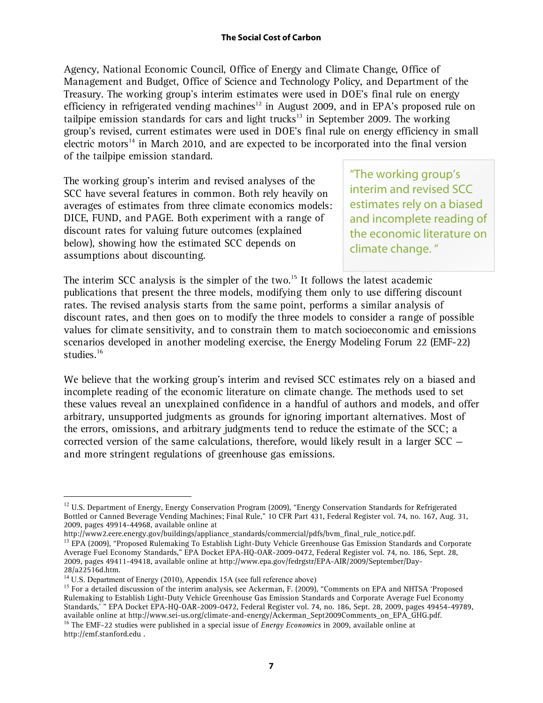Agency, National Economic Council, Office of Energy and Climate Change, Office of Management and Budget, Office of Science and Technology Policy, and Department of the Treasury. The working group's interim estimates were used in DOE's final rule on energy efficiency in refrigerated vending machines<sup>12</sup> in August 2009, and in EPA's proposed rule on tailpipe emission standards for cars and light trucks<sup>13</sup> in September 2009. The working group's revised, current estimates were used in DOE's final rule on energy efficiency in small electric motors<sup>14</sup> in March 2010, and are expected to be incorporated into the final version of the tailpipe emission standard.

The working group's interim and revised analyses of the SCC have several features in common. Both rely heavily on averages of estimates from three climate economics models: DICE, FUND, and PAGE. Both experiment with a range of discount rates for valuing future outcomes (explained below), showing how the estimated SCC depends on assumptions about discounting.

"The working group's interim and revised SCC estimates rely on a biased and incomplete reading of the economic literature on climate change. "

The interim SCC analysis is the simpler of the two.<sup>15</sup> It follows the latest academic publications that present the three models, modifying them only to use differing discount rates. The revised analysis starts from the same point, performs a similar analysis of discount rates, and then goes on to modify the three models to consider a range of possible values for climate sensitivity, and to constrain them to match socioeconomic and emissions scenarios developed in another modeling exercise, the Energy Modeling Forum 22 (EMF-22) studies.<sup>16</sup>

We believe that the working group's interim and revised SCC estimates rely on a biased and incomplete reading of the economic literature on climate change. The methods used to set these values reveal an unexplained confidence in a handful of authors and models, and offer arbitrary, unsupported judgments as grounds for ignoring important alternatives. Most of the errors, omissions, and arbitrary judgments tend to reduce the estimate of the SCC; a corrected version of the same calculations, therefore, would likely result in a larger  $SC$ and more stringent regulations of greenhouse gas emissions.

<sup>&</sup>lt;sup>12</sup> U.S. Department of Energy, Energy Conservation Program (2009), "Energy Conservation Standards for Refrigerated Bottled or Canned Beverage Vending Machines; Final Rule," 10 CFR Part 431, Federal Register vol. 74, no. 167, Aug. 31, 2009, pages 49914-44968, available online at

http://www2.eere.energy.gov/buildings/appliance\_standards/commercial/pdfs/bvm\_final\_rule\_notice.pdf.

<sup>&</sup>lt;sup>13</sup> EPA (2009), "Proposed Rulemaking To Establish Light-Duty Vehicle Greenhouse Gas Emission Standards and Corporate Average Fuel Economy Standards," EPA Docket EPA-HQ-OAR-2009-0472, Federal Register vol. 74, no. 186, Sept. 28, 2009, pages 49411-49418, available online at http://www.epa.gov/fedrgstr/EPA-AIR/2009/September/Day-28/a22516d.htm.

<sup>&</sup>lt;sup>14</sup> U.S. Department of Energy (2010), Appendix 15A (see full reference above)<br><sup>15</sup> For a detailed discussion of the interim analysis, see Ackerman, F. (2009), "Comments on EPA and NHTSA 'Proposed Rulemaking to Establish Light-Duty Vehicle Greenhouse Gas Emission Standards and Corporate Average Fuel Economy Standards,' " EPA Docket EPA-HQ-OAR-2009-0472, Federal Register vol. 74, no. 186, Sept. 28, 2009, pages 49454-49789, available online at http://www.sei-us.org/climate-and-energy/Ackerman\_Sept2009Comments\_on\_EPA\_GHG.pdf. <sup>16</sup> The EMF-22 studies were published in a special issue of *Energy Economics* in 2009, available online at http://emf.stanford.edu .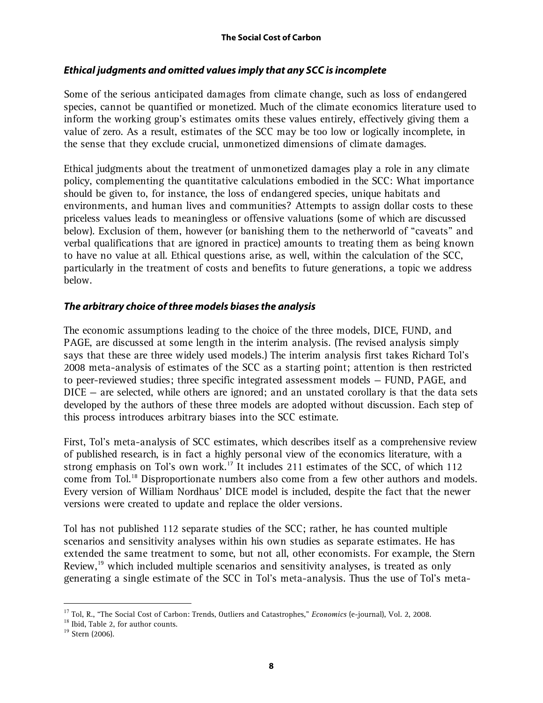### **Ethical judgments and omitted values imply that any SCC is incomplete**

Some of the serious anticipated damages from climate change, such as loss of endangered species, cannot be quantified or monetized. Much of the climate economics literature used to inform the working group's estimates omits these values entirely, effectively giving them a value of zero. As a result, estimates of the SCC may be too low or logically incomplete, in the sense that they exclude crucial, unmonetized dimensions of climate damages.

Ethical judgments about the treatment of unmonetized damages play a role in any climate policy, complementing the quantitative calculations embodied in the SCC: What importance should be given to, for instance, the loss of endangered species, unique habitats and environments, and human lives and communities? Attempts to assign dollar costs to these priceless values leads to meaningless or offensive valuations (some of which are discussed below). Exclusion of them, however (or banishing them to the netherworld of "caveats" and verbal qualifications that are ignored in practice) amounts to treating them as being known to have no value at all. Ethical questions arise, as well, within the calculation of the SCC, particularly in the treatment of costs and benefits to future generations, a topic we address below.

# **The arbitrary choice of three models biases the analysis**

The economic assumptions leading to the choice of the three models, DICE, FUND, and PAGE, are discussed at some length in the interim analysis. (The revised analysis simply says that these are three widely used models.) The interim analysis first takes Richard Tol's 2008 meta-analysis of estimates of the SCC as a starting point; attention is then restricted to peer-reviewed studies; three specific integrated assessment models — FUND, PAGE, and DICE – are selected, while others are ignored; and an unstated corollary is that the data sets developed by the authors of these three models are adopted without discussion. Each step of this process introduces arbitrary biases into the SCC estimate.

First, Tol's meta-analysis of SCC estimates, which describes itself as a comprehensive review of published research, is in fact a highly personal view of the economics literature, with a strong emphasis on Tol's own work.<sup>17</sup> It includes 211 estimates of the SCC, of which 112 come from Tol.<sup>18</sup> Disproportionate numbers also come from a few other authors and models. Every version of William Nordhaus' DICE model is included, despite the fact that the newer versions were created to update and replace the older versions.

Tol has not published 112 separate studies of the SCC; rather, he has counted multiple scenarios and sensitivity analyses within his own studies as separate estimates. He has extended the same treatment to some, but not all, other economists. For example, the Stern Review,<sup>19</sup> which included multiple scenarios and sensitivity analyses, is treated as only generating a single estimate of the SCC in Tol's meta-analysis. Thus the use of Tol's meta-

<sup>17</sup> Tol, R., "The Social Cost of Carbon: Trends, Outliers and Catastrophes," *Economics* (e-journal), Vol. 2, 2008.

<sup>&</sup>lt;sup>18</sup> Ibid, Table 2, for author counts.

<sup>&</sup>lt;sup>19</sup> Stern (2006).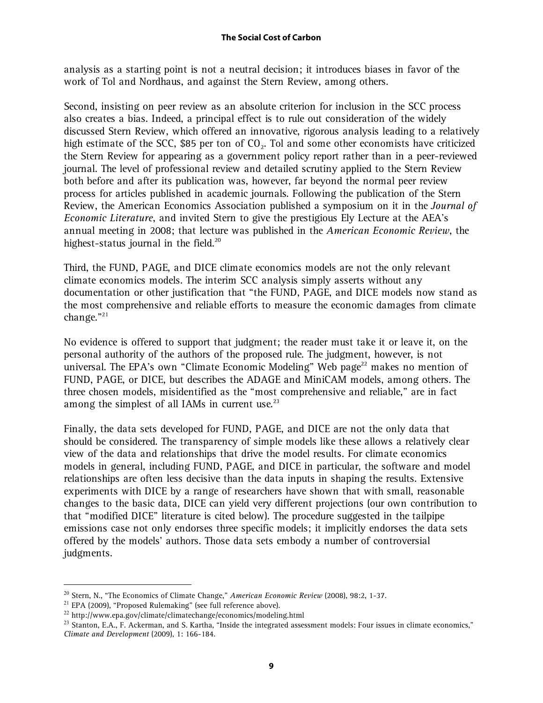analysis as a starting point is not a neutral decision; it introduces biases in favor of the work of Tol and Nordhaus, and against the Stern Review, among others.

Second, insisting on peer review as an absolute criterion for inclusion in the SCC process also creates a bias. Indeed, a principal effect is to rule out consideration of the widely discussed Stern Review, which offered an innovative, rigorous analysis leading to a relatively high estimate of the SCC, \$85 per ton of  $CO<sub>2</sub>$ . Tol and some other economists have criticized the Stern Review for appearing as a government policy report rather than in a peer-reviewed journal. The level of professional review and detailed scrutiny applied to the Stern Review both before and after its publication was, however, far beyond the normal peer review process for articles published in academic journals. Following the publication of the Stern Review, the American Economics Association published a symposium on it in the *Journal of Economic Literature*, and invited Stern to give the prestigious Ely Lecture at the AEA's annual meeting in 2008; that lecture was published in the *American Economic Review*, the highest-status journal in the field.<sup>20</sup>

Third, the FUND, PAGE, and DICE climate economics models are not the only relevant climate economics models. The interim SCC analysis simply asserts without any documentation or other justification that "the FUND, PAGE, and DICE models now stand as the most comprehensive and reliable efforts to measure the economic damages from climate change. $"^{21}$ 

No evidence is offered to support that judgment; the reader must take it or leave it, on the personal authority of the authors of the proposed rule. The judgment, however, is not universal. The EPA's own "Climate Economic Modeling" Web page<sup>22</sup> makes no mention of FUND, PAGE, or DICE, but describes the ADAGE and MiniCAM models, among others. The three chosen models, misidentified as the "most comprehensive and reliable," are in fact among the simplest of all IAMs in current use.<sup>23</sup>

Finally, the data sets developed for FUND, PAGE, and DICE are not the only data that should be considered. The transparency of simple models like these allows a relatively clear view of the data and relationships that drive the model results. For climate economics models in general, including FUND, PAGE, and DICE in particular, the software and model relationships are often less decisive than the data inputs in shaping the results. Extensive experiments with DICE by a range of researchers have shown that with small, reasonable changes to the basic data, DICE can yield very different projections (our own contribution to that "modified DICE" literature is cited below). The procedure suggested in the tailpipe emissions case not only endorses three specific models; it implicitly endorses the data sets offered by the models' authors. Those data sets embody a number of controversial judgments.

<sup>20</sup> Stern, N., "The Economics of Climate Change," *American Economic Review* (2008), 98:2, 1-37.

<sup>21</sup> EPA (2009), "Proposed Rulemaking" (see full reference above).

<sup>22</sup> http://www.epa.gov/climate/climatechange/economics/modeling.html

<sup>&</sup>lt;sup>23</sup> Stanton, E.A., F. Ackerman, and S. Kartha, "Inside the integrated assessment models: Four issues in climate economics," *Climate and Development* (2009), 1: 166-184.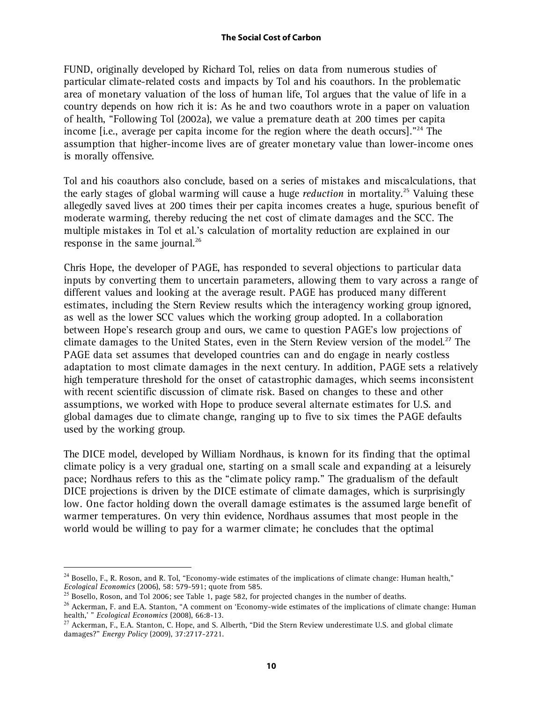FUND, originally developed by Richard Tol, relies on data from numerous studies of particular climate-related costs and impacts by Tol and his coauthors. In the problematic area of monetary valuation of the loss of human life, Tol argues that the value of life in a country depends on how rich it is: As he and two coauthors wrote in a paper on valuation of health, "Following Tol (2002a), we value a premature death at 200 times per capita income [i.e., average per capita income for the region where the death occurs]."<sup>24</sup> The assumption that higher-income lives are of greater monetary value than lower-income ones is morally offensive.

Tol and his coauthors also conclude, based on a series of mistakes and miscalculations, that the early stages of global warming will cause a huge *reduction* in mortality.25 Valuing these allegedly saved lives at 200 times their per capita incomes creates a huge, spurious benefit of moderate warming, thereby reducing the net cost of climate damages and the SCC. The multiple mistakes in Tol et al.'s calculation of mortality reduction are explained in our response in the same journal. $^{26}$ 

Chris Hope, the developer of PAGE, has responded to several objections to particular data inputs by converting them to uncertain parameters, allowing them to vary across a range of different values and looking at the average result. PAGE has produced many different estimates, including the Stern Review results which the interagency working group ignored, as well as the lower SCC values which the working group adopted. In a collaboration between Hope's research group and ours, we came to question PAGE's low projections of climate damages to the United States, even in the Stern Review version of the model.<sup>27</sup> The PAGE data set assumes that developed countries can and do engage in nearly costless adaptation to most climate damages in the next century. In addition, PAGE sets a relatively high temperature threshold for the onset of catastrophic damages, which seems inconsistent with recent scientific discussion of climate risk. Based on changes to these and other assumptions, we worked with Hope to produce several alternate estimates for U.S. and global damages due to climate change, ranging up to five to six times the PAGE defaults used by the working group.

The DICE model, developed by William Nordhaus, is known for its finding that the optimal climate policy is a very gradual one, starting on a small scale and expanding at a leisurely pace; Nordhaus refers to this as the "climate policy ramp." The gradualism of the default DICE projections is driven by the DICE estimate of climate damages, which is surprisingly low. One factor holding down the overall damage estimates is the assumed large benefit of warmer temperatures. On very thin evidence, Nordhaus assumes that most people in the world would be willing to pay for a warmer climate; he concludes that the optimal

 $24$  Bosello, F., R. Roson, and R. Tol, "Economy-wide estimates of the implications of climate change: Human health," *Ecological Economics* (2006), 58: 579-591; quote from 585.

 $^{25}$  Bosello, Roson, and Tol 2006; see Table 1, page 582, for projected changes in the number of deaths.

<sup>&</sup>lt;sup>26</sup> Ackerman, F. and E.A. Stanton, "A comment on 'Economy-wide estimates of the implications of climate change: Human health,' " *Ecological Economics* (2008), 66:8-13.

<sup>&</sup>lt;sup>27</sup> Ackerman, F., E.A. Stanton, C. Hope, and S. Alberth, "Did the Stern Review underestimate U.S. and global climate damages?" *Energy Policy* (2009), 37:2717-2721.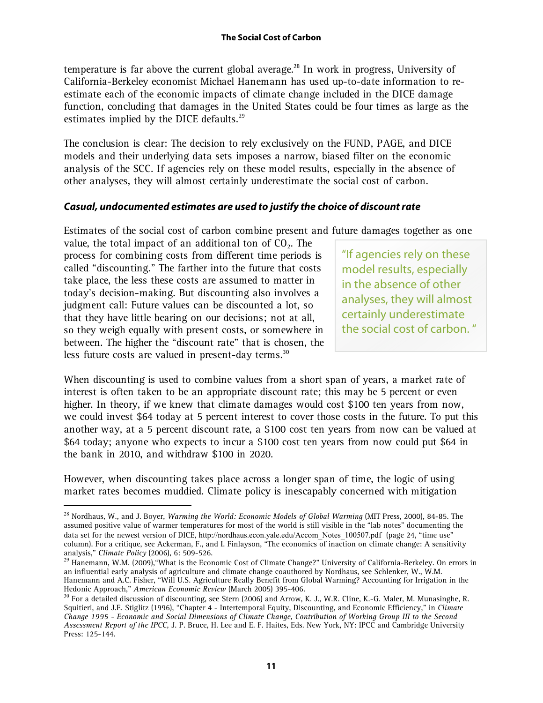temperature is far above the current global average.<sup>28</sup> In work in progress, University of California-Berkeley economist Michael Hanemann has used up-to-date information to reestimate each of the economic impacts of climate change included in the DICE damage function, concluding that damages in the United States could be four times as large as the estimates implied by the DICE defaults.<sup>29</sup>

The conclusion is clear: The decision to rely exclusively on the FUND, PAGE, and DICE models and their underlying data sets imposes a narrow, biased filter on the economic analysis of the SCC. If agencies rely on these model results, especially in the absence of other analyses, they will almost certainly underestimate the social cost of carbon.

# **Casual, undocumented estimates are used to justify the choice of discount rate**

Estimates of the social cost of carbon combine present and future damages together as one

value, the total impact of an additional ton of  $CO<sub>2</sub>$ . The process for combining costs from different time periods is called "discounting." The farther into the future that costs take place, the less these costs are assumed to matter in today's decision-making. But discounting also involves a judgment call: Future values can be discounted a lot, so that they have little bearing on our decisions; not at all, so they weigh equally with present costs, or somewhere in between. The higher the "discount rate" that is chosen, the less future costs are valued in present-day terms.<sup>30</sup>

 $\overline{a}$ 

"If agencies rely on these model results, especially in the absence of other analyses, they will almost certainly underestimate the social cost of carbon. "

When discounting is used to combine values from a short span of years, a market rate of interest is often taken to be an appropriate discount rate; this may be 5 percent or even higher. In theory, if we knew that climate damages would cost \$100 ten years from now, we could invest \$64 today at 5 percent interest to cover those costs in the future. To put this another way, at a 5 percent discount rate, a \$100 cost ten years from now can be valued at \$64 today; anyone who expects to incur a \$100 cost ten years from now could put \$64 in the bank in 2010, and withdraw \$100 in 2020.

However, when discounting takes place across a longer span of time, the logic of using market rates becomes muddied. Climate policy is inescapably concerned with mitigation

<sup>28</sup> Nordhaus, W., and J. Boyer, *Warming the World: Economic Models of Global Warming* (MIT Press, 2000), 84-85. The assumed positive value of warmer temperatures for most of the world is still visible in the "lab notes" documenting the data set for the newest version of DICE, http://nordhaus.econ.yale.edu/Accom\_Notes\_100507.pdf (page 24, "time use" column). For a critique, see Ackerman, F., and I. Finlayson, "The economics of inaction on climate change: A sensitivity analysis," *Climate Policy* (2006), 6: 509-526.

<sup>&</sup>lt;sup>29</sup> Hanemann, W.M. (2009), "What is the Economic Cost of Climate Change?" University of California-Berkeley. On errors in an influential early analysis of agriculture and climate change coauthored by Nordhaus, see Schlenker, W., W.M. Hanemann and A.C. Fisher, "Will U.S. Agriculture Really Benefit from Global Warming? Accounting for Irrigation in the Hedonic Approach," *American Economic Review* (March 2005) 395-406.

 $30$  For a detailed discussion of discounting, see Stern (2006) and Arrow, K. J., W.R. Cline, K.-G. Maler, M. Munasinghe, R. Squitieri, and J.E. Stiglitz (1996), "Chapter 4 - Intertemporal Equity, Discounting, and Economic Efficiency," in *Climate Change 1995 - Economic and Social Dimensions of Climate Change, Contribution of Working Group III to the Second Assessment Report of the IPCC,* J. P. Bruce, H. Lee and E. F. Haites, Eds. New York, NY: IPCC and Cambridge University Press: 125-144.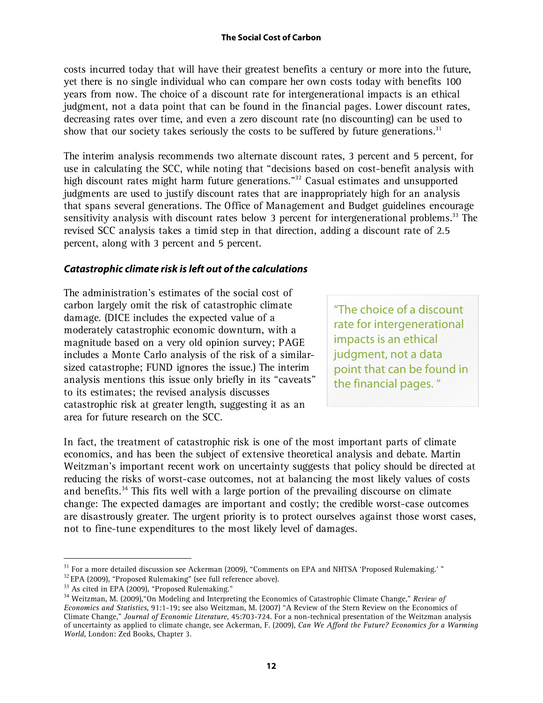costs incurred today that will have their greatest benefits a century or more into the future, yet there is no single individual who can compare her own costs today with benefits 100 years from now. The choice of a discount rate for intergenerational impacts is an ethical judgment, not a data point that can be found in the financial pages. Lower discount rates, decreasing rates over time, and even a zero discount rate (no discounting) can be used to show that our society takes seriously the costs to be suffered by future generations.<sup>31</sup>

The interim analysis recommends two alternate discount rates, 3 percent and 5 percent, for use in calculating the SCC, while noting that "decisions based on cost-benefit analysis with high discount rates might harm future generations."<sup>32</sup> Casual estimates and unsupported judgments are used to justify discount rates that are inappropriately high for an analysis that spans several generations. The Office of Management and Budget guidelines encourage sensitivity analysis with discount rates below 3 percent for intergenerational problems.<sup>33</sup> The revised SCC analysis takes a timid step in that direction, adding a discount rate of 2.5 percent, along with 3 percent and 5 percent.

### **Catastrophic climate risk is left out of the calculations**

The administration's estimates of the social cost of carbon largely omit the risk of catastrophic climate damage. (DICE includes the expected value of a moderately catastrophic economic downturn, with a magnitude based on a very old opinion survey; PAGE includes a Monte Carlo analysis of the risk of a similarsized catastrophe; FUND ignores the issue.) The interim analysis mentions this issue only briefly in its "caveats" to its estimates; the revised analysis discusses catastrophic risk at greater length, suggesting it as an area for future research on the SCC.

"The choice of a discount rate for intergenerational impacts is an ethical judgment, not a data point that can be found in the financial pages. "

In fact, the treatment of catastrophic risk is one of the most important parts of climate economics, and has been the subject of extensive theoretical analysis and debate. Martin Weitzman's important recent work on uncertainty suggests that policy should be directed at reducing the risks of worst-case outcomes, not at balancing the most likely values of costs and benefits.<sup>34</sup> This fits well with a large portion of the prevailing discourse on climate change: The expected damages are important and costly; the credible worst-case outcomes are disastrously greater. The urgent priority is to protect ourselves against those worst cases, not to fine-tune expenditures to the most likely level of damages.

<sup>&</sup>lt;sup>31</sup> For a more detailed discussion see Ackerman (2009), "Comments on EPA and NHTSA 'Proposed Rulemaking.' "

<sup>&</sup>lt;sup>32</sup> EPA (2009), "Proposed Rulemaking" (see full reference above).

<sup>&</sup>lt;sup>33</sup> As cited in EPA (2009), "Proposed Rulemaking."

<sup>34</sup> Weitzman, M. (2009),"On Modeling and Interpreting the Economics of Catastrophic Climate Change," *Review of Economics and Statistics*, 91:1-19; see also Weitzman, M. (2007) "A Review of the Stern Review on the Economics of Climate Change," *Journal of Economic Literature*, 45:703-724. For a non-technical presentation of the Weitzman analysis of uncertainty as applied to climate change, see Ackerman, F. (2009), *Can We Afford the Future? Economics for a Warming World*, London: Zed Books, Chapter 3.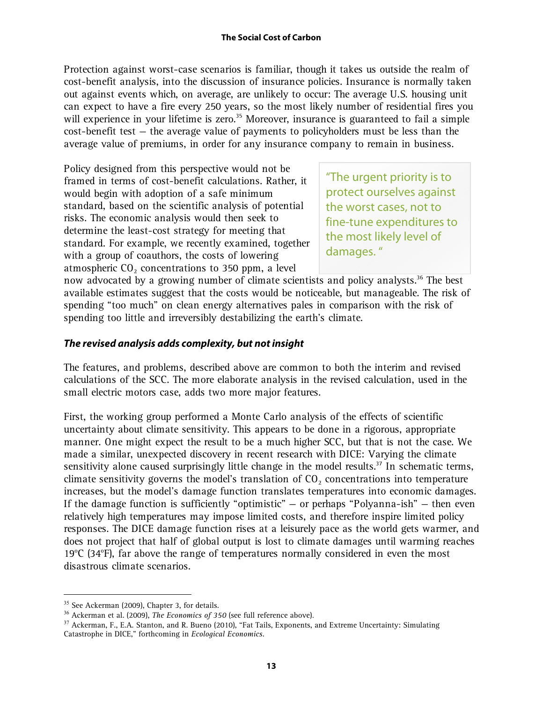Protection against worst-case scenarios is familiar, though it takes us outside the realm of cost-benefit analysis, into the discussion of insurance policies. Insurance is normally taken out against events which, on average, are unlikely to occur: The average U.S. housing unit can expect to have a fire every 250 years, so the most likely number of residential fires you will experience in your lifetime is zero.<sup>35</sup> Moreover, insurance is guaranteed to fail a simple cost-benefit test — the average value of payments to policyholders must be less than the average value of premiums, in order for any insurance company to remain in business.

Policy designed from this perspective would not be framed in terms of cost-benefit calculations. Rather, it would begin with adoption of a safe minimum standard, based on the scientific analysis of potential risks. The economic analysis would then seek to determine the least-cost strategy for meeting that standard. For example, we recently examined, together with a group of coauthors, the costs of lowering atmospheric  $CO<sub>2</sub>$  concentrations to 350 ppm, a level

"The urgent priority is to protect ourselves against the worst cases, not to fine-tune expenditures to the most likely level of damages. "

now advocated by a growing number of climate scientists and policy analysts.<sup>36</sup> The best available estimates suggest that the costs would be noticeable, but manageable. The risk of spending "too much" on clean energy alternatives pales in comparison with the risk of spending too little and irreversibly destabilizing the earth's climate.

### **The revised analysis adds complexity, but not insight**

The features, and problems, described above are common to both the interim and revised calculations of the SCC. The more elaborate analysis in the revised calculation, used in the small electric motors case, adds two more major features.

First, the working group performed a Monte Carlo analysis of the effects of scientific uncertainty about climate sensitivity. This appears to be done in a rigorous, appropriate manner. One might expect the result to be a much higher SCC, but that is not the case. We made a similar, unexpected discovery in recent research with DICE: Varying the climate sensitivity alone caused surprisingly little change in the model results.<sup>37</sup> In schematic terms, climate sensitivity governs the model's translation of  $CO<sub>2</sub>$  concentrations into temperature increases, but the model's damage function translates temperatures into economic damages. If the damage function is sufficiently "optimistic"  $-$  or perhaps "Polyanna-ish"  $-$  then even relatively high temperatures may impose limited costs, and therefore inspire limited policy responses. The DICE damage function rises at a leisurely pace as the world gets warmer, and does not project that half of global output is lost to climate damages until warming reaches 19°C (34°F), far above the range of temperatures normally considered in even the most disastrous climate scenarios.

<sup>&</sup>lt;sup>35</sup> See Ackerman (2009), Chapter 3, for details.

<sup>36</sup> Ackerman et al. (2009), *The Economics of 350* (see full reference above).

<sup>&</sup>lt;sup>37</sup> Ackerman, F., E.A. Stanton, and R. Bueno (2010), "Fat Tails, Exponents, and Extreme Uncertainty: Simulating Catastrophe in DICE," forthcoming in *Ecological Economics.*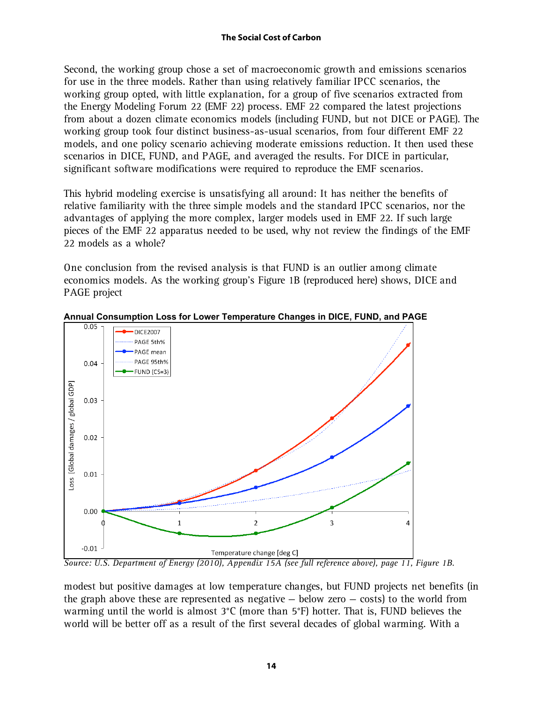Second, the working group chose a set of macroeconomic growth and emissions scenarios for use in the three models. Rather than using relatively familiar IPCC scenarios, the working group opted, with little explanation, for a group of five scenarios extracted from the Energy Modeling Forum 22 (EMF 22) process. EMF 22 compared the latest projections from about a dozen climate economics models (including FUND, but not DICE or PAGE). The working group took four distinct business-as-usual scenarios, from four different EMF 22 models, and one policy scenario achieving moderate emissions reduction. It then used these scenarios in DICE, FUND, and PAGE, and averaged the results. For DICE in particular, significant software modifications were required to reproduce the EMF scenarios.

This hybrid modeling exercise is unsatisfying all around: It has neither the benefits of relative familiarity with the three simple models and the standard IPCC scenarios, nor the advantages of applying the more complex, larger models used in EMF 22. If such large pieces of the EMF 22 apparatus needed to be used, why not review the findings of the EMF 22 models as a whole?

One conclusion from the revised analysis is that FUND is an outlier among climate economics models. As the working group's Figure 1B (reproduced here) shows, DICE and PAGE project



**Annual Consumption Loss for Lower Temperature Changes in DICE, FUND, and PAGE**

*Source: U.S. Department of Energy (2010), Appendix 15A (see full reference above), page 11, Figure 1B.*

modest but positive damages at low temperature changes, but FUND projects net benefits (in the graph above these are represented as negative  $-$  below zero  $-$  costs) to the world from warming until the world is almost 3°C (more than 5°F) hotter. That is, FUND believes the world will be better off as a result of the first several decades of global warming. With a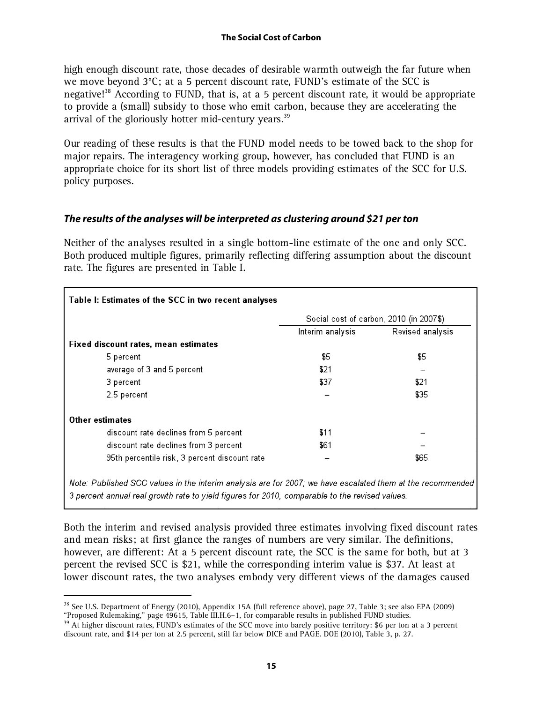high enough discount rate, those decades of desirable warmth outweigh the far future when we move beyond 3°C; at a 5 percent discount rate, FUND's estimate of the SCC is negative!<sup>38</sup> According to FUND, that is, at a 5 percent discount rate, it would be appropriate to provide a (small) subsidy to those who emit carbon, because they are accelerating the arrival of the gloriously hotter mid-century years.<sup>39</sup>

Our reading of these results is that the FUND model needs to be towed back to the shop for major repairs. The interagency working group, however, has concluded that FUND is an appropriate choice for its short list of three models providing estimates of the SCC for U.S. policy purposes.

# **The results of the analyses will be interpreted as clustering around \$21 per ton**

Neither of the analyses resulted in a single bottom-line estimate of the one and only SCC. Both produced multiple figures, primarily reflecting differing assumption about the discount rate. The figures are presented in Table I.

|                                               | Social cost of carbon, 2010 (in 2007\$) |                  |
|-----------------------------------------------|-----------------------------------------|------------------|
|                                               | Interim analysis                        | Revised analysis |
| Fixed discount rates, mean estimates          |                                         |                  |
| 5 percent                                     | \$5                                     | \$5              |
| average of 3 and 5 percent                    | \$21                                    |                  |
| 3 percent                                     | \$37                                    | \$21             |
| 2.5 percent                                   |                                         | \$35             |
| <b>Other estimates</b>                        |                                         |                  |
| discount rate declines from 5 percent         | \$11                                    |                  |
| discount rate declines from 3 percent         | \$61                                    |                  |
| 95th percentile risk, 3 percent discount rate |                                         | \$65             |

Note: Published SCC values in the interim analysis are for 2007; we have escalated them at the recommended 3 percent annual real growth rate to yield figures for 2010, comparable to the revised values.

Both the interim and revised analysis provided three estimates involving fixed discount rates and mean risks; at first glance the ranges of numbers are very similar. The definitions, however, are different: At a 5 percent discount rate, the SCC is the same for both, but at 3 percent the revised SCC is \$21, while the corresponding interim value is \$37. At least at lower discount rates, the two analyses embody very different views of the damages caused

<sup>38</sup> See U.S. Department of Energy (2010), Appendix 15A (full reference above), page 27, Table 3; see also EPA (2009) "Proposed Rulemaking," page 49615, Table III.H.6–1, for comparable results in published FUND studies.

<sup>&</sup>lt;sup>39</sup> At higher discount rates, FUND's estimates of the SCC move into barely positive territory: \$6 per ton at a 3 percent discount rate, and \$14 per ton at 2.5 percent, still far below DICE and PAGE. DOE (2010), Table 3, p. 27.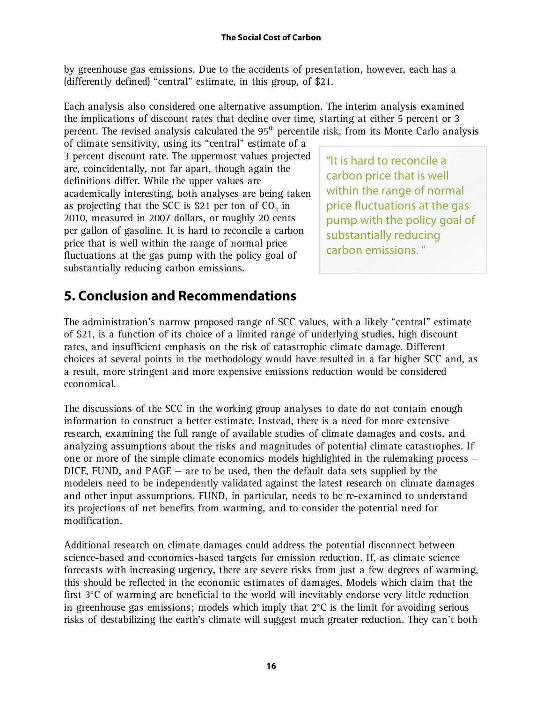by greenhouse gas emissions. Due to the accidents of presentation, however, each has a (differently defined) "central" estimate, in this group, of \$21.

Each analysis also considered one alternative assumption. The interim analysis examined the implications of discount rates that decline over time, starting at either 5 percent or 3 percent. The revised analysis calculated the  $95<sup>th</sup>$  percentile risk, from its Monte Carlo analysis

of climate sensitivity, using its "central" estimate of a 3 percent discount rate. The uppermost values projected are, coincidentally, not far apart, though again the definitions differ. While the upper values are academically interesting, both analyses are being taken as projecting that the SCC is \$21 per ton of  $CO<sub>2</sub>$  in 2010, measured in 2007 dollars, or roughly 20 cents per gallon of gasoline. It is hard to reconcile a carbon price that is well within the range of normal price fluctuations at the gas pump with the policy goal of substantially reducing carbon emissions.

"It is hard to reconcile a carbon price that is well within the range of normal price fluctuations at the gas pump with the policy goal of substantially reducing carbon emissions. "

# **5. Conclusion and Recommendations**

The administration's narrow proposed range of SCC values, with a likely "central" estimate of \$21, is a function of its choice of a limited range of underlying studies, high discount rates, and insufficient emphasis on the risk of catastrophic climate damage. Different choices at several points in the methodology would have resulted in a far higher SCC and, as a result, more stringent and more expensive emissions reduction would be considered economical.

The discussions of the SCC in the working group analyses to date do not contain enough information to construct a better estimate. Instead, there is a need for more extensive research, examining the full range of available studies of climate damages and costs, and analyzing assumptions about the risks and magnitudes of potential climate catastrophes. If one or more of the simple climate economics models highlighted in the rulemaking process — DICE, FUND, and PAGE — are to be used, then the default data sets supplied by the modelers need to be independently validated against the latest research on climate damages and other input assumptions. FUND, in particular, needs to be re-examined to understand its projections of net benefits from warming, and to consider the potential need for modification.

Additional research on climate damages could address the potential disconnect between science-based and economics-based targets for emission reduction. If, as climate science forecasts with increasing urgency, there are severe risks from just a few degrees of warming, this should be reflected in the economic estimates of damages. Models which claim that the first 3°C of warming are beneficial to the world will inevitably endorse very little reduction in greenhouse gas emissions; models which imply that 2°C is the limit for avoiding serious risks of destabilizing the earth's climate will suggest much greater reduction. They can't both